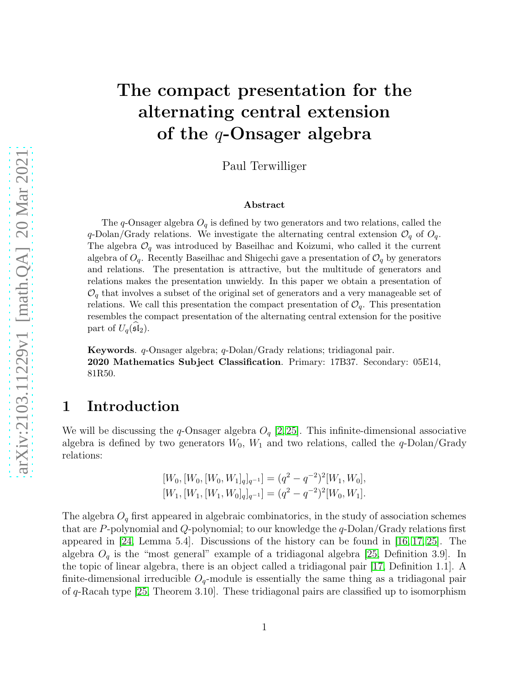# The compact presentation for the alternating central extension of the  $q$ -Onsager algebra

Paul Terwilliger

#### Abstract

The q-Onsager algebra  $O_q$  is defined by two generators and two relations, called the q-Dolan/Grady relations. We investigate the alternating central extension  $\mathcal{O}_q$  of  $\mathcal{O}_q$ . The algebra  $\mathcal{O}_q$  was introduced by Baseilhac and Koizumi, who called it the current algebra of  $O_q$ . Recently Baseilhac and Shigechi gave a presentation of  $O_q$  by generators and relations. The presentation is attractive, but the multitude of generators and relations makes the presentation unwieldy. In this paper we obtain a presentation of  $\mathcal{O}_q$  that involves a subset of the original set of generators and a very manageable set of relations. We call this presentation the compact presentation of  $\mathcal{O}_q$ . This presentation resembles the compact presentation of the alternating central extension for the positive part of  $U_q(\mathfrak{sl}_2)$ .

Keywords. q-Onsager algebra; q-Dolan/Grady relations; tridiagonal pair. 2020 Mathematics Subject Classification. Primary: 17B37. Secondary: 05E14, 81R50.

#### 1 Introduction

We will be discussing the q-Onsager algebra  $O_q$  [\[2,](#page-22-0)[25\]](#page-24-0). This infinite-dimensional associative algebra is defined by two generators  $W_0$ ,  $W_1$  and two relations, called the q-Dolan/Grady relations:

$$
[W_0, [W_0, [W_0, W_1]_q]_{q^{-1}}] = (q^2 - q^{-2})^2 [W_1, W_0],
$$
  

$$
[W_1, [W_1, [W_1, W_0]_q]_{q^{-1}}] = (q^2 - q^{-2})^2 [W_0, W_1].
$$

The algebra  $O_q$  first appeared in algebraic combinatorics, in the study of association schemes that are P-polynomial and Q-polynomial; to our knowledge the  $q$ -Dolan/Grady relations first appeared in [\[24,](#page-24-1) Lemma 5.4]. Discussions of the history can be found in [\[16,](#page-23-0) [17,](#page-23-1) [25\]](#page-24-0). The algebra  $O_q$  is the "most general" example of a tridiagonal algebra [\[25,](#page-24-0) Definition 3.9]. In the topic of linear algebra, there is an object called a tridiagonal pair [\[17,](#page-23-1) Definition 1.1]. A finite-dimensional irreducible  $O_q$ -module is essentially the same thing as a tridiagonal pair of q-Racah type [\[25,](#page-24-0) Theorem 3.10]. These tridiagonal pairs are classified up to isomorphism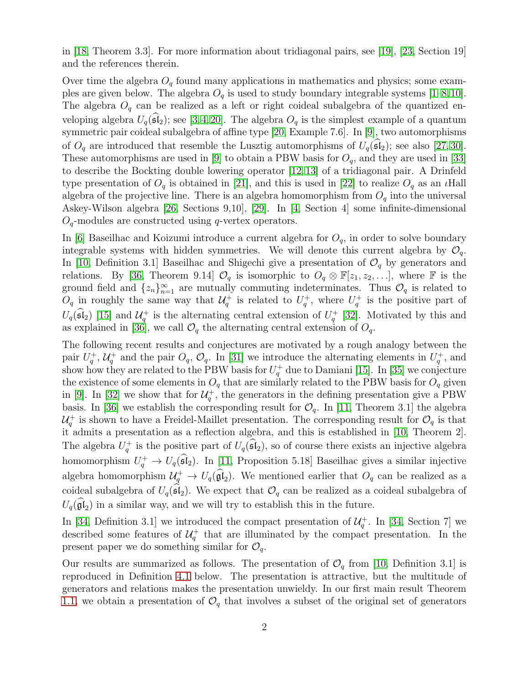in [\[18,](#page-23-2) Theorem 3.3]. For more information about tridiagonal pairs, see [\[19\]](#page-23-3), [\[23,](#page-24-2) Section 19] and the references therein.

Over time the algebra  $O_q$  found many applications in mathematics and physics; some examples are given below. The algebra  $O_q$  is used to study boundary integrable systems [\[1](#page-22-1)[–8,](#page-23-4)[10\]](#page-23-5). The algebra  $O_q$  can be realized as a left or right coideal subalgebra of the quantized enveloping algebra  $U_q(\widehat{\mathfrak{sl}}_2)$ ; see [\[3,](#page-22-2)[4,](#page-22-3)[20\]](#page-24-3). The algebra  $O_q$  is the simplest example of a quantum symmetric pair coideal subalgebra of affine type [\[20,](#page-24-3) Example 7.6]. In [\[9\]](#page-23-6), two automorphisms of  $O_q$  are introduced that resemble the Lusztig automorphisms of  $U_q(\mathfrak{sl}_2)$ ; see also [\[27,](#page-24-4) [30\]](#page-24-5). These automorphisms are used in [\[9\]](#page-23-6) to obtain a PBW basis for  $O_q$ , and they are used in [\[33\]](#page-24-6) to describe the Bockting double lowering operator [\[12,](#page-23-7) [13\]](#page-23-8) of a tridiagonal pair. A Drinfeld type presentation of  $O_q$  is obtained in [\[21\]](#page-24-7), and this is used in [\[22\]](#page-24-8) to realize  $O_q$  as an *l*Hall algebra of the projective line. There is an algebra homomorphism from  $O_q$  into the universal Askey-Wilson algebra [\[26,](#page-24-9) Sections 9,10], [\[29\]](#page-24-10). In [\[4,](#page-22-3) Section 4] some infinite-dimensional  $O_q$ -modules are constructed using q-vertex operators.

In [\[6\]](#page-23-9) Baseilhac and Koizumi introduce a current algebra for  $O_q$ , in order to solve boundary integrable systems with hidden symmetries. We will denote this current algebra by  $\mathcal{O}_q$ . In [\[10,](#page-23-5) Definition 3.1] Baseilhac and Shigechi give a presentation of  $\mathcal{O}_q$  by generators and relations. By [\[36,](#page-24-11) Theorem 9.14]  $\mathcal{O}_q$  is isomorphic to  $O_q \otimes \mathbb{F}[z_1, z_2, \ldots]$ , where  $\mathbb F$  is the ground field and  $\{z_n\}_{n=1}^{\infty}$  are mutually commuting indeterminates. Thus  $\mathcal{O}_q$  is related to  $O_q$  in roughly the same way that  $\mathcal{U}_q^+$  is related to  $U_q^+$ , where  $U_q^+$  is the positive part of  $U_q(\hat{\mathfrak{sl}}_2)$  [\[15\]](#page-23-10) and  $\mathcal{U}_q^+$  is the alternating central extension of  $U_q^+$  [\[32\]](#page-24-12). Motivated by this and as explained in [\[36\]](#page-24-11), we call  $\mathcal{O}_q$  the alternating central extension of  $\mathcal{O}_q$ .

The following recent results and conjectures are motivated by a rough analogy between the pair  $U_q^+$ ,  $\mathcal{U}_q^+$  and the pair  $O_q$ ,  $\mathcal{O}_q$ . In [\[31\]](#page-24-13) we introduce the alternating elements in  $U_q^+$ , and show how they are related to the PBW basis for  $U_q^+$  due to Damiani [\[15\]](#page-23-10). In [\[35\]](#page-24-14) we conjecture the existence of some elements in  $O_q$  that are similarly related to the PBW basis for  $O_q$  given in [\[9\]](#page-23-6). In [\[32\]](#page-24-12) we show that for  $\mathcal{U}_q^+$ , the generators in the defining presentation give a PBW basis. In [\[36\]](#page-24-11) we establish the corresponding result for  $\mathcal{O}_q$ . In [\[11,](#page-23-11) Theorem 3.1] the algebra  $\mathcal{U}_q^+$  is shown to have a Freidel-Maillet presentation. The corresponding result for  $\mathcal{O}_q$  is that it admits a presentation as a reflection algebra, and this is established in [\[10,](#page-23-5) Theorem 2]. The algebra  $U_q^+$  is the positive part of  $U_q(\widehat{\mathfrak{sl}}_2)$ , so of course there exists an injective algebra homomorphism  $U_q^+ \to U_q(\mathfrak{sl}_2)$ . In [\[11,](#page-23-11) Proposition 5.18] Basellhac gives a similar injective algebra homomorphism  $\mathcal{U}_q^+ \to U_q(\hat{\mathfrak{gl}}_2)$ . We mentioned earlier that  $O_q$  can be realized as a coideal subalgebra of  $U_q(\mathfrak{sl}_2)$ . We expect that  $\mathcal{O}_q$  can be realized as a coideal subalgebra of  $U_q(\mathfrak{gl}_2)$  in a similar way, and we will try to establish this in the future.

In [\[34,](#page-24-15) Definition 3.1] we introduced the compact presentation of  $\mathcal{U}_q^+$ . In [34, Section 7] we described some features of  $\mathcal{U}_q^+$  that are illuminated by the compact presentation. In the present paper we do something similar for  $\mathcal{O}_q$ .

Our results are summarized as follows. The presentation of  $\mathcal{O}_q$  from [\[10,](#page-23-5) Definition 3.1] is reproduced in Definition [4.1](#page-5-0) below. The presentation is attractive, but the multitude of generators and relations makes the presentation unwieldy. In our first main result Theorem [1.1,](#page-2-0) we obtain a presentation of  $\mathcal{O}_q$  that involves a subset of the original set of generators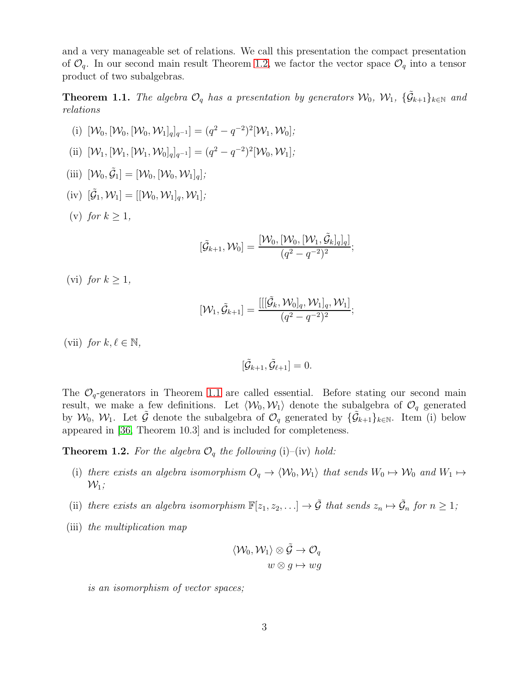and a very manageable set of relations. We call this presentation the compact presentation of  $\mathcal{O}_q$ . In our second main result Theorem [1.2,](#page-2-1) we factor the vector space  $\mathcal{O}_q$  into a tensor product of two subalgebras.

<span id="page-2-0"></span>**Theorem 1.1.** The algebra  $\mathcal{O}_q$  has a presentation by generators  $\mathcal{W}_0$ ,  $\mathcal{W}_1$ ,  $\{\tilde{\mathcal{G}}_{k+1}\}_{k\in\mathbb{N}}$  and relations

(i) 
$$
[\mathcal{W}_0, [\mathcal{W}_0, \mathcal{W}_0, \mathcal{W}_1]_q]_{q^{-1}}] = (q^2 - q^{-2})^2 [\mathcal{W}_1, \mathcal{W}_0];
$$
  
\n(ii)  $[\mathcal{W}_1, [\mathcal{W}_1, [\mathcal{W}_1, \mathcal{W}_0]_q]_{q^{-1}}] = (q^2 - q^{-2})^2 [\mathcal{W}_0, \mathcal{W}_1];$   
\n(iii)  $[\mathcal{W}_0, \tilde{\mathcal{G}}_1] = [\mathcal{W}_0, [\mathcal{W}_0, \mathcal{W}_1]_q];$   
\n(iv)  $[\tilde{\mathcal{G}}_1, \mathcal{W}_1] = [[\mathcal{W}_0, \mathcal{W}_1]_q, \mathcal{W}_1];$   
\n(v) for  $k \ge 1$ ,  
\n $[\tilde{\mathcal{G}}_{k+1}, \mathcal{W}_0] = \frac{[\mathcal{W}_0, [\mathcal{W}_0, [\mathcal{W}_1, \tilde{\mathcal{G}}_q]]}{(q^2 - q^{-2})^2}$ 

(vi) for  $k \geq 1$ ,

$$
[\mathcal{W}_1,\tilde{\mathcal{G}}_{k+1}]=\frac{[[[\tilde{\mathcal{G}}_k,\mathcal{W}_0]_q,\mathcal{W}_1]_q,\mathcal{W}_1]}{(q^2-q^{-2})^2};
$$

 $\frac{k[q]_q]}{q}$ 

(vii) for  $k, \ell \in \mathbb{N}$ ,

$$
[\tilde{\mathcal{G}}_{k+1}, \tilde{\mathcal{G}}_{\ell+1}] = 0.
$$

The  $\mathcal{O}_q$ -generators in Theorem [1.1](#page-2-0) are called essential. Before stating our second main result, we make a few definitions. Let  $\langle W_0, W_1 \rangle$  denote the subalgebra of  $\mathcal{O}_q$  generated by  $\mathcal{W}_0, \mathcal{W}_1$ . Let  $\tilde{\mathcal{G}}$  denote the subalgebra of  $\mathcal{O}_q$  generated by  $\{\tilde{\mathcal{G}}_{k+1}\}_{k\in\mathbb{N}}$ . Item (i) below appeared in [\[36,](#page-24-11) Theorem 10.3] and is included for completeness.

<span id="page-2-1"></span>**Theorem 1.2.** For the algebra  $\mathcal{O}_q$  the following (i)–(iv) hold:

- (i) there exists an algebra isomorphism  $O_q \to \langle W_0, W_1 \rangle$  that sends  $W_0 \mapsto W_0$  and  $W_1 \mapsto$  $\mathcal{W}_1$ ;
- (ii) there exists an algebra isomorphism  $\mathbb{F}[z_1, z_2, \ldots] \to \tilde{\mathcal{G}}$  that sends  $z_n \mapsto \tilde{\mathcal{G}}_n$  for  $n \geq 1$ ;
- (iii) the multiplication map

$$
\langle \mathcal{W}_0, \mathcal{W}_1 \rangle \otimes \tilde{\mathcal{G}} \to \mathcal{O}_q \\ w \otimes g \mapsto wg
$$

is an isomorphism of vector spaces;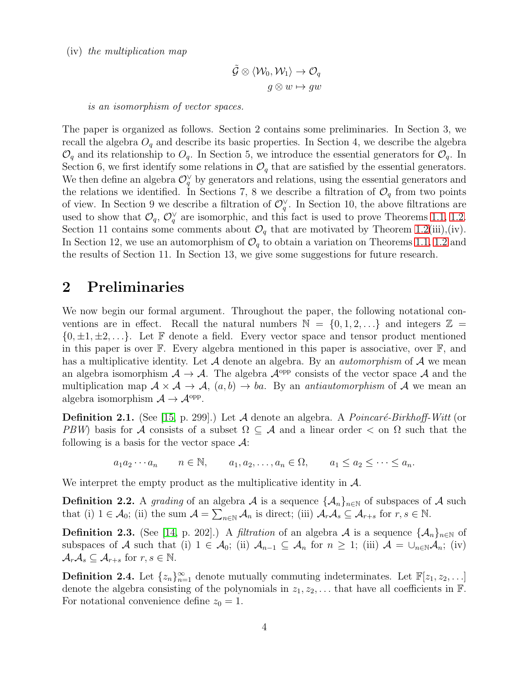(iv) the multiplication map

$$
\tilde{\mathcal{G}}\otimes \langle \mathcal{W}_0,\mathcal{W}_1\rangle \to \mathcal{O}_q \\ g\otimes w\mapsto gw
$$

is an isomorphism of vector spaces.

The paper is organized as follows. Section 2 contains some preliminaries. In Section 3, we recall the algebra  $O_q$  and describe its basic properties. In Section 4, we describe the algebra  $\mathcal{O}_q$  and its relationship to  $\mathcal{O}_q$ . In Section 5, we introduce the essential generators for  $\mathcal{O}_q$ . In Section 6, we first identify some relations in  $\mathcal{O}_q$  that are satisfied by the essential generators. We then define an algebra  $\mathcal{O}_q^{\vee}$  by generators and relations, using the essential generators and the relations we identified. In Sections 7, 8 we describe a filtration of  $\mathcal{O}_q$  from two points of view. In Section 9 we describe a filtration of  $\mathcal{O}_q^{\vee}$ . In Section 10, the above filtrations are used to show that  $\mathcal{O}_q$ ,  $\mathcal{O}_q^{\vee}$  are isomorphic, and this fact is used to prove Theorems [1.1,](#page-2-0) [1.2.](#page-2-1) Section 11 contains some comments about  $\mathcal{O}_q$  that are motivated by Theorem [1.2\(](#page-2-1)iii),(iv). In Section 12, we use an automorphism of  $\mathcal{O}_q$  to obtain a variation on Theorems [1.1,](#page-2-0) [1.2](#page-2-1) and the results of Section 11. In Section 13, we give some suggestions for future research.

### 2 Preliminaries

We now begin our formal argument. Throughout the paper, the following notational conventions are in effect. Recall the natural numbers  $\mathbb{N} = \{0, 1, 2, \ldots\}$  and integers  $\mathbb{Z} =$  $\{0, \pm 1, \pm 2, \ldots\}$ . Let F denote a field. Every vector space and tensor product mentioned in this paper is over F. Every algebra mentioned in this paper is associative, over F, and has a multiplicative identity. Let  $A$  denote an algebra. By an *automorphism* of  $A$  we mean an algebra isomorphism  $A \to A$ . The algebra  $A^{opp}$  consists of the vector space A and the multiplication map  $A \times A \rightarrow A$ ,  $(a, b) \rightarrow ba$ . By an *antiautomorphism* of A we mean an algebra isomorphism  $A \to \mathcal{A}^{\text{opp}}$ .

**Definition 2.1.** (See [\[15,](#page-23-10) p. 299].) Let A denote an algebra. A *Poincaré-Birkhoff-Witt* (or PBW) basis for A consists of a subset  $\Omega \subseteq A$  and a linear order  $\lt$  on  $\Omega$  such that the following is a basis for the vector space  $\mathcal{A}$ :

 $a_1a_2\cdots a_n$   $n \in \mathbb{N}$ ,  $a_1, a_2, \ldots, a_n \in \Omega$ ,  $a_1 \le a_2 \le \cdots \le a_n$ .

We interpret the empty product as the multiplicative identity in  $\mathcal{A}$ .

<span id="page-3-1"></span>**Definition 2.2.** A grading of an algebra A is a sequence  $\{\mathcal{A}_n\}_{n\in\mathbb{N}}$  of subspaces of A such that (i)  $1 \in \mathcal{A}_0$ ; (ii) the sum  $\mathcal{A} = \sum_{n \in \mathbb{N}} \mathcal{A}_n$  is direct; (iii)  $\mathcal{A}_r \mathcal{A}_s \subseteq \mathcal{A}_{r+s}$  for  $r, s \in \mathbb{N}$ .

<span id="page-3-0"></span>**Definition 2.3.** (See [\[14,](#page-23-12) p. 202].) A *filtration* of an algebra A is a sequence  $\{\mathcal{A}_n\}_{n\in\mathbb{N}}$  of subspaces of A such that (i)  $1 \in \mathcal{A}_0$ ; (ii)  $\mathcal{A}_{n-1} \subseteq \mathcal{A}_n$  for  $n \geq 1$ ; (iii)  $\mathcal{A} = \bigcup_{n \in \mathbb{N}} \mathcal{A}_n$ ; (iv)  $\mathcal{A}_r\mathcal{A}_s\subseteq\mathcal{A}_{r+s}$  for  $r,s\in\mathbb{N}$ .

**Definition 2.4.** Let  $\{z_n\}_{n=1}^{\infty}$  denote mutually commuting indeterminates. Let  $\mathbb{F}[z_1, z_2, \ldots]$ denote the algebra consisting of the polynomials in  $z_1, z_2, \ldots$  that have all coefficients in  $\mathbb F$ . For notational convenience define  $z_0 = 1$ .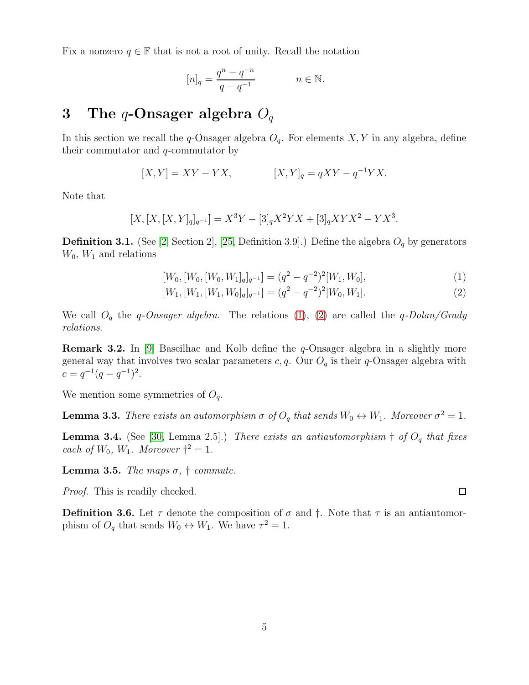Fix a nonzero  $q \in \mathbb{F}$  that is not a root of unity. Recall the notation

$$
[n]_q = \frac{q^n - q^{-n}}{q - q^{-1}} \qquad n \in \mathbb{N}.
$$

## 3 The q-Onsager algebra  $O_q$

In this section we recall the q-Onsager algebra  $O<sub>q</sub>$ . For elements  $X, Y$  in any algebra, define their commutator and q-commutator by

$$
[X,Y] = XY - YX, \qquad [X,Y]_q = qXY - q^{-1}YX.
$$

Note that

$$
[X,[X,[X,Y]_q]_{q^{-1}}] = X^3 Y - [3]_q X^2 Y X + [3]_q XY X^2 - Y X^3.
$$

**Definition 3.1.** (See [\[2,](#page-22-0) Section 2], [\[25,](#page-24-0) Definition 3.9].) Define the algebra  $O_q$  by generators  $W_0$ ,  $W_1$  and relations

<span id="page-4-1"></span><span id="page-4-0"></span>
$$
[W_0, [W_0, [W_0, W_1]_q]_{q^{-1}}] = (q^2 - q^{-2})^2 [W_1, W_0],
$$
\n(1)

$$
[W_1, [W_1, [W_1, W_0]_q]_{q^{-1}}] = (q^2 - q^{-2})^2 [W_0, W_1].
$$
\n(2)

We call  $O_q$  the q-Onsager algebra. The relations [\(1\)](#page-4-0), [\(2\)](#page-4-1) are called the q-Dolan/Grady relations.

**Remark 3.2.** In [\[9\]](#page-23-6) Baseilhac and Kolb define the  $q$ -Onsager algebra in a slightly more general way that involves two scalar parameters  $c, q$ . Our  $O_q$  is their q-Onsager algebra with  $c = q^{-1}(q - q^{-1})^2$ .

We mention some symmetries of  $O_q$ .

<span id="page-4-2"></span>**Lemma 3.3.** There exists an automorphism  $\sigma$  of  $O_q$  that sends  $W_0 \leftrightarrow W_1$ . Moreover  $\sigma^2 = 1$ .

<span id="page-4-3"></span>**Lemma 3.4.** (See [\[30,](#page-24-5) Lemma 2.5].) There exists an antiautomorphism  $\dagger$  of  $O_q$  that fixes each of  $W_0$ ,  $W_1$ . Moreover  $\dagger^2 = 1$ .

Lemma 3.5. The maps  $\sigma$ ,  $\dagger$  commute.

Proof. This is readily checked.

<span id="page-4-4"></span>**Definition 3.6.** Let  $\tau$  denote the composition of  $\sigma$  and  $\dagger$ . Note that  $\tau$  is an antiautomorphism of  $O_q$  that sends  $W_0 \leftrightarrow W_1$ . We have  $\tau^2 = 1$ .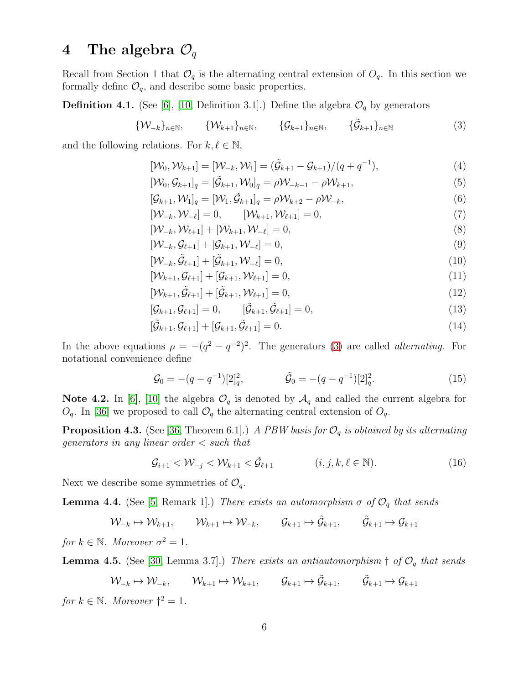## 4 The algebra  $\mathcal{O}_q$

Recall from Section 1 that  $\mathcal{O}_q$  is the alternating central extension of  $O_q$ . In this section we formally define  $\mathcal{O}_q$ , and describe some basic properties.

<span id="page-5-0"></span>**Definition 4.1.** (See [\[6\]](#page-23-9), [\[10,](#page-23-5) Definition 3.1].) Define the algebra  $\mathcal{O}_q$  by generators

$$
\{\mathcal{W}_{-k}\}_{n\in\mathbb{N}}, \qquad \{\mathcal{W}_{k+1}\}_{n\in\mathbb{N}}, \qquad \{\mathcal{G}_{k+1}\}_{n\in\mathbb{N}}, \qquad \{\tilde{\mathcal{G}}_{k+1}\}_{n\in\mathbb{N}}
$$
(3)

and the following relations. For  $k, \ell \in \mathbb{N}$ ,

<span id="page-5-1"></span>
$$
[\mathcal{W}_0, \mathcal{W}_{k+1}] = [\mathcal{W}_{-k}, \mathcal{W}_1] = (\tilde{\mathcal{G}}_{k+1} - \mathcal{G}_{k+1})/(q + q^{-1}),
$$
\n(4)

<span id="page-5-5"></span><span id="page-5-4"></span>
$$
[\mathcal{W}_0, \mathcal{G}_{k+1}]_q = [\tilde{\mathcal{G}}_{k+1}, \mathcal{W}_0]_q = \rho \mathcal{W}_{-k-1} - \rho \mathcal{W}_{k+1},
$$
\n
$$
\tag{5}
$$

<span id="page-5-7"></span>
$$
[\mathcal{G}_{k+1}, \mathcal{W}_1]_q = [\mathcal{W}_1, \tilde{\mathcal{G}}_{k+1}]_q = \rho \mathcal{W}_{k+2} - \rho \mathcal{W}_{-k},\tag{6}
$$

<span id="page-5-6"></span>
$$
[\mathcal{W}_{-k}, \mathcal{W}_{-\ell}] = 0, \qquad [\mathcal{W}_{k+1}, \mathcal{W}_{\ell+1}] = 0,\tag{7}
$$

$$
[\mathcal{W}_{-k}, \mathcal{W}_{\ell+1}] + [\mathcal{W}_{k+1}, \mathcal{W}_{-\ell}] = 0, \tag{8}
$$

<span id="page-5-12"></span>
$$
[\mathcal{W}_{-k}, \mathcal{G}_{\ell+1}] + [\mathcal{G}_{k+1}, \mathcal{W}_{-\ell}] = 0,\tag{9}
$$

$$
[\mathcal{W}_{-k}, \tilde{\mathcal{G}}_{\ell+1}] + [\tilde{\mathcal{G}}_{k+1}, \mathcal{W}_{-\ell}] = 0, \qquad (10)
$$

<span id="page-5-13"></span>
$$
[\mathcal{W}_{k+1}, \mathcal{G}_{\ell+1}] + [\mathcal{G}_{k+1}, \mathcal{W}_{\ell+1}] = 0, \tag{11}
$$

$$
[\mathcal{W}_{k+1}, \tilde{\mathcal{G}}_{\ell+1}] + [\tilde{\mathcal{G}}_{k+1}, \mathcal{W}_{\ell+1}] = 0, \tag{12}
$$

$$
[\mathcal{G}_{k+1}, \mathcal{G}_{\ell+1}] = 0, \qquad [\tilde{\mathcal{G}}_{k+1}, \tilde{\mathcal{G}}_{\ell+1}] = 0, \qquad (13)
$$

<span id="page-5-11"></span><span id="page-5-8"></span>
$$
[\tilde{\mathcal{G}}_{k+1}, \mathcal{G}_{\ell+1}] + [\mathcal{G}_{k+1}, \tilde{\mathcal{G}}_{\ell+1}] = 0.
$$
\n(14)

In the above equations  $\rho = -(q^2 - q^{-2})^2$ . The generators [\(3\)](#page-5-1) are called *alternating*. For notational convenience define

<span id="page-5-9"></span>
$$
\mathcal{G}_0 = -(q - q^{-1})[2]_q^2, \qquad \tilde{\mathcal{G}}_0 = -(q - q^{-1})[2]_q^2. \qquad (15)
$$

Note 4.2. In [\[6\]](#page-23-9), [\[10\]](#page-23-5) the algebra  $\mathcal{O}_q$  is denoted by  $\mathcal{A}_q$  and called the current algebra for  $O_q$ . In [\[36\]](#page-24-11) we proposed to call  $O_q$  the alternating central extension of  $O_q$ .

<span id="page-5-10"></span>**Proposition 4.3.** (See [\[36,](#page-24-11) Theorem 6.1].) A PBW basis for  $\mathcal{O}_q$  is obtained by its alternating generators in any linear order < such that

$$
\mathcal{G}_{i+1} < \mathcal{W}_{-j} < \mathcal{W}_{k+1} < \tilde{\mathcal{G}}_{\ell+1} \tag{16}
$$

Next we describe some symmetries of  $\mathcal{O}_q$ .

<span id="page-5-2"></span>**Lemma 4.4.** (See [\[5,](#page-23-13) Remark 1].) There exists an automorphism  $\sigma$  of  $\mathcal{O}_q$  that sends

$$
\mathcal{W}_{-k} \mapsto \mathcal{W}_{k+1}, \qquad \mathcal{W}_{k+1} \mapsto \mathcal{W}_{-k}, \qquad \mathcal{G}_{k+1} \mapsto \tilde{\mathcal{G}}_{k+1}, \qquad \tilde{\mathcal{G}}_{k+1} \mapsto \mathcal{G}_{k+1}
$$

for  $k \in \mathbb{N}$ . Moreover  $\sigma^2 = 1$ .

<span id="page-5-3"></span>**Lemma 4.5.** (See [\[30,](#page-24-5) Lemma 3.7].) There exists an antiautomorphism  $\dagger$  of  $\mathcal{O}_q$  that sends

$$
\mathcal{W}_{-k} \mapsto \mathcal{W}_{-k}, \qquad \mathcal{W}_{k+1} \mapsto \mathcal{W}_{k+1}, \qquad \mathcal{G}_{k+1} \mapsto \tilde{\mathcal{G}}_{k+1}, \qquad \tilde{\mathcal{G}}_{k+1} \mapsto \mathcal{G}_{k+1}
$$

for  $k \in \mathbb{N}$ . Moreover  $\dagger^2 = 1$ .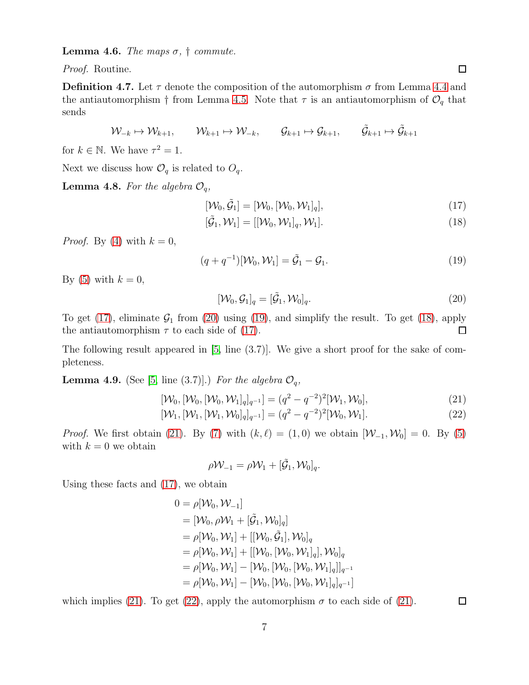**Lemma 4.6.** The maps  $\sigma$ ,  $\dagger$  commute.

Proof. Routine.

<span id="page-6-6"></span>**Definition 4.7.** Let  $\tau$  denote the composition of the automorphism  $\sigma$  from Lemma [4.4](#page-5-2) and the antiautomorphism † from Lemma [4.5.](#page-5-3) Note that  $\tau$  is an antiautomorphism of  $\mathcal{O}_q$  that sends

$$
\mathcal{W}_{-k} \mapsto \mathcal{W}_{k+1}, \qquad \mathcal{W}_{k+1} \mapsto \mathcal{W}_{-k}, \qquad \mathcal{G}_{k+1} \mapsto \mathcal{G}_{k+1}, \qquad \tilde{\mathcal{G}}_{k+1} \mapsto \tilde{\mathcal{G}}_{k+1}
$$

for  $k \in \mathbb{N}$ . We have  $\tau^2 = 1$ .

Next we discuss how  $\mathcal{O}_q$  is related to  $O_q$ .

<span id="page-6-7"></span>**Lemma 4.8.** For the algebra  $\mathcal{O}_q$ ,

<span id="page-6-0"></span>
$$
[\mathcal{W}_0, \tilde{\mathcal{G}}_1] = [\mathcal{W}_0, [\mathcal{W}_0, \mathcal{W}_1]_q],\tag{17}
$$

<span id="page-6-3"></span>
$$
[\tilde{\mathcal{G}}_1, \mathcal{W}_1] = [[\mathcal{W}_0, \mathcal{W}_1]_q, \mathcal{W}_1]. \tag{18}
$$

*Proof.* By [\(4\)](#page-5-4) with  $k = 0$ ,

$$
(q+q^{-1})[\mathcal{W}_0, \mathcal{W}_1] = \tilde{\mathcal{G}}_1 - \mathcal{G}_1.
$$
\n(19)

By [\(5\)](#page-5-5) with  $k = 0$ ,

<span id="page-6-2"></span><span id="page-6-1"></span>
$$
[\mathcal{W}_0, \mathcal{G}_1]_q = [\tilde{\mathcal{G}}_1, \mathcal{W}_0]_q.
$$
\n(20)

To get [\(17\)](#page-6-0), eliminate  $G_1$  from [\(20\)](#page-6-1) using [\(19\)](#page-6-2), and simplify the result. To get [\(18\)](#page-6-3), apply the antiautomorphism  $\tau$  to each side of [\(17\)](#page-6-0).  $\Box$ 

The following result appeared in  $[5, \text{ line } (3.7)]$ . We give a short proof for the sake of completeness.

<span id="page-6-8"></span>**Lemma 4.9.** (See [\[5,](#page-23-13) line (3.7)].) For the algebra  $\mathcal{O}_q$ ,

$$
[\mathcal{W}_0, [\mathcal{W}_0, [\mathcal{W}_0, \mathcal{W}_1]_q]_{q^{-1}}] = (q^2 - q^{-2})^2 [\mathcal{W}_1, \mathcal{W}_0], \tag{21}
$$

$$
[\mathcal{W}_1, [\mathcal{W}_1, [\mathcal{W}_1, \mathcal{W}_0]_q]_{q^{-1}}] = (q^2 - q^{-2})^2 [\mathcal{W}_0, \mathcal{W}_1].
$$
\n(22)

*Proof.* We first obtain [\(21\)](#page-6-4). By [\(7\)](#page-5-6) with  $(k, \ell) = (1, 0)$  we obtain  $[\mathcal{W}_{-1}, \mathcal{W}_0] = 0$ . By [\(5\)](#page-5-5) with  $k = 0$  we obtain

<span id="page-6-5"></span><span id="page-6-4"></span>
$$
\rho \mathcal{W}_{-1} = \rho \mathcal{W}_1 + [\tilde{\mathcal{G}}_1, \mathcal{W}_0]_q.
$$

Using these facts and [\(17\)](#page-6-0), we obtain

$$
0 = \rho[\mathcal{W}_0, \mathcal{W}_{-1}]
$$
  
\n=  $[\mathcal{W}_0, \rho \mathcal{W}_1 + [\tilde{\mathcal{G}}_1, \mathcal{W}_0]_q]$   
\n=  $\rho[\mathcal{W}_0, \mathcal{W}_1] + [[\mathcal{W}_0, \tilde{\mathcal{G}}_1], \mathcal{W}_0]_q$   
\n=  $\rho[\mathcal{W}_0, \mathcal{W}_1] + [[\mathcal{W}_0, [\mathcal{W}_0, \mathcal{W}_1]_q], \mathcal{W}_0]_q$   
\n=  $\rho[\mathcal{W}_0, \mathcal{W}_1] - [\mathcal{W}_0, [\mathcal{W}_0, [\mathcal{W}_0, \mathcal{W}_1]_q]]_{q^{-1}}$   
\n=  $\rho[\mathcal{W}_0, \mathcal{W}_1] - [\mathcal{W}_0, [\mathcal{W}_0, [\mathcal{W}_0, \mathcal{W}_1]_q]_{q^{-1}}]$ 

which implies [\(21\)](#page-6-4). To get [\(22\)](#page-6-5), apply the automorphism  $\sigma$  to each side of (21).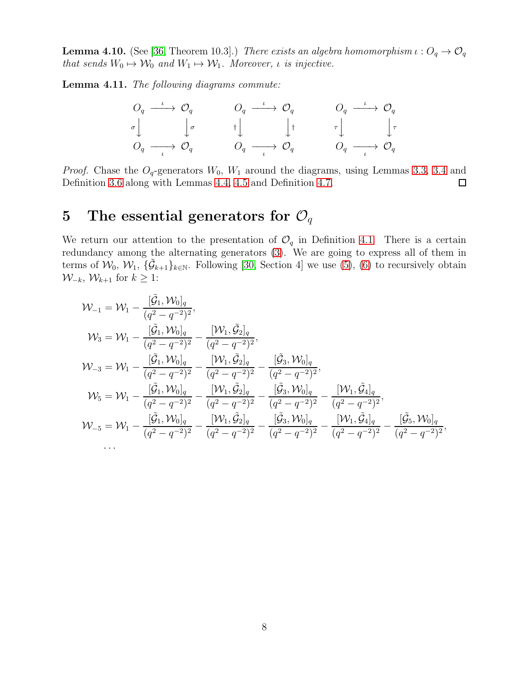<span id="page-7-0"></span>**Lemma 4.10.** (See [\[36,](#page-24-11) Theorem 10.3].) There exists an algebra homomorphism  $\iota: O_q \to O_q$ that sends  $W_0 \mapsto W_0$  and  $W_1 \mapsto W_1$ . Moreover, *ι* is injective.

Lemma 4.11. The following diagrams commute:

$$
\begin{array}{ccc}\nO_q & \xrightarrow{\iota} & O_q & \xrightarrow{\iota} & O_q & \xrightarrow{\iota} & O_q \\
\sigma \downarrow & & \downarrow \sigma & & \uparrow \downarrow & & \downarrow \uparrow & & \tau \downarrow & & \downarrow \tau \\
O_q & \xrightarrow{\iota} & O_q & & O_q & \xrightarrow{\iota} & O_q & \xrightarrow{\iota} & O_q \\
\end{array}
$$

*Proof.* Chase the  $O_q$ -generators  $W_0$ ,  $W_1$  around the diagrams, using Lemmas [3.3,](#page-4-2) [3.4](#page-4-3) and Definition [3.6](#page-4-4) along with Lemmas [4.4,](#page-5-2) [4.5](#page-5-3) and Definition [4.7.](#page-6-6)  $\Box$ 

## 5 The essential generators for  $\mathcal{O}_q$

We return our attention to the presentation of  $\mathcal{O}_q$  in Definition [4.1.](#page-5-0) There is a certain redundancy among the alternating generators  $(3)$ . We are going to express all of them in terms of  $W_0, W_1, \{\tilde{\mathcal{G}}_{k+1}\}_{k\in\mathbb{N}}$ . Following [\[30,](#page-24-5) Section 4] we use [\(5\)](#page-5-5), [\(6\)](#page-5-7) to recursively obtain  $W_{-k}$ ,  $W_{k+1}$  for  $k \geq 1$ :

$$
\mathcal{W}_{-1} = \mathcal{W}_{1} - \frac{[\tilde{G}_{1}, \mathcal{W}_{0}]_{q}}{(q^{2} - q^{-2})^{2}}, \n\mathcal{W}_{3} = \mathcal{W}_{1} - \frac{[\tilde{G}_{1}, \mathcal{W}_{0}]_{q}}{(q^{2} - q^{-2})^{2}} - \frac{[\mathcal{W}_{1}, \tilde{G}_{2}]_{q}}{(q^{2} - q^{-2})^{2}}, \n\mathcal{W}_{-3} = \mathcal{W}_{1} - \frac{[\tilde{G}_{1}, \mathcal{W}_{0}]_{q}}{(q^{2} - q^{-2})^{2}} - \frac{[\mathcal{W}_{1}, \tilde{G}_{2}]_{q}}{(q^{2} - q^{-2})^{2}} - \frac{[\tilde{G}_{3}, \mathcal{W}_{0}]_{q}}{(q^{2} - q^{-2})^{2}}, \n\mathcal{W}_{5} = \mathcal{W}_{1} - \frac{[\tilde{G}_{1}, \mathcal{W}_{0}]_{q}}{(q^{2} - q^{-2})^{2}} - \frac{[\mathcal{W}_{1}, \tilde{G}_{2}]_{q}}{(q^{2} - q^{-2})^{2}} - \frac{[\tilde{G}_{3}, \mathcal{W}_{0}]_{q}}{(q^{2} - q^{-2})^{2}} - \frac{[\mathcal{W}_{1}, \tilde{G}_{4}]_{q}}{(q^{2} - q^{-2})^{2}}, \n\mathcal{W}_{-5} = \mathcal{W}_{1} - \frac{[\tilde{G}_{1}, \mathcal{W}_{0}]_{q}}{(q^{2} - q^{-2})^{2}} - \frac{[\mathcal{W}_{1}, \tilde{G}_{2}]_{q}}{(q^{2} - q^{-2})^{2}} - \frac{[\tilde{G}_{3}, \mathcal{W}_{0}]_{q}}{(q^{2} - q^{-2})^{2}} - \frac{[\mathcal{W}_{1}, \tilde{G}_{4}]_{q}}{(q^{2} - q^{-2})^{2}} - \frac{[\tilde{G}_{5}, \mathcal{W}_{0}]_{q}}{(q^{2} - q^{-2})^{2}}, \n\cdots
$$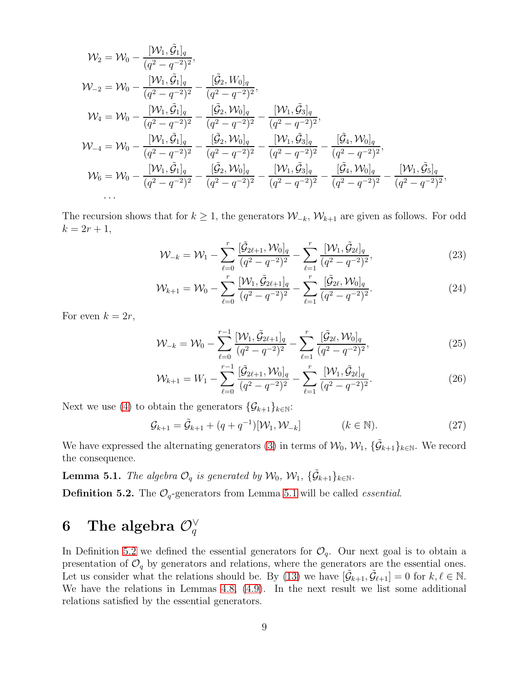$$
\mathcal{W}_2 = \mathcal{W}_0 - \frac{[\mathcal{W}_1, \tilde{\mathcal{G}}_1]_q}{(q^2 - q^{-2})^2}, \n\mathcal{W}_{-2} = \mathcal{W}_0 - \frac{[\mathcal{W}_1, \tilde{\mathcal{G}}_1]_q}{(q^2 - q^{-2})^2} - \frac{[\tilde{\mathcal{G}}_2, W_0]_q}{(q^2 - q^{-2})^2}, \n\mathcal{W}_4 = \mathcal{W}_0 - \frac{[\mathcal{W}_1, \tilde{\mathcal{G}}_1]_q}{(q^2 - q^{-2})^2} - \frac{[\tilde{\mathcal{G}}_2, \mathcal{W}_0]_q}{(q^2 - q^{-2})^2} - \frac{[\mathcal{W}_1, \tilde{\mathcal{G}}_3]_q}{(q^2 - q^{-2})^2}, \n\mathcal{W}_{-4} = \mathcal{W}_0 - \frac{[\mathcal{W}_1, \tilde{\mathcal{G}}_1]_q}{(q^2 - q^{-2})^2} - \frac{[\tilde{\mathcal{G}}_2, \mathcal{W}_0]_q}{(q^2 - q^{-2})^2} - \frac{[\mathcal{W}_1, \tilde{\mathcal{G}}_3]_q}{(q^2 - q^{-2})^2} - \frac{[\tilde{\mathcal{G}}_4, \mathcal{W}_0]_q}{(q^2 - q^{-2})^2}, \n\mathcal{W}_6 = \mathcal{W}_0 - \frac{[\mathcal{W}_1, \tilde{\mathcal{G}}_1]_q}{(q^2 - q^{-2})^2} - \frac{[\tilde{\mathcal{G}}_2, \mathcal{W}_0]_q}{(q^2 - q^{-2})^2} - \frac{[\mathcal{W}_1, \tilde{\mathcal{G}}_3]_q}{(q^2 - q^{-2})^2} - \frac{[\tilde{\mathcal{G}}_4, \mathcal{W}_0]_q}{(q^2 - q^{-2})^2} - \frac{[\mathcal{W}_1, \tilde{\mathcal{G}}_5]_q}{(q^2 - q^{-2})^2}.
$$

The recursion shows that for  $k \geq 1$ , the generators  $\mathcal{W}_{-k}$ ,  $\mathcal{W}_{k+1}$  are given as follows. For odd  $k = 2r + 1,$ 

<span id="page-8-2"></span>
$$
\mathcal{W}_{-k} = \mathcal{W}_1 - \sum_{\ell=0}^r \frac{[\tilde{\mathcal{G}}_{2\ell+1}, \mathcal{W}_0]_q}{(q^2 - q^{-2})^2} - \sum_{\ell=1}^r \frac{[\mathcal{W}_1, \tilde{\mathcal{G}}_{2\ell}]_q}{(q^2 - q^{-2})^2},\tag{23}
$$

$$
\mathcal{W}_{k+1} = \mathcal{W}_0 - \sum_{\ell=0}^r \frac{[\mathcal{W}_1, \tilde{\mathcal{G}}_{2\ell+1}]_q}{(q^2 - q^{-2})^2} - \sum_{\ell=1}^r \frac{[\tilde{\mathcal{G}}_{2\ell}, \mathcal{W}_0]_q}{(q^2 - q^{-2})^2}.
$$
 (24)

For even  $k = 2r$ ,

$$
\mathcal{W}_{-k} = \mathcal{W}_0 - \sum_{\ell=0}^{r-1} \frac{[\mathcal{W}_1, \tilde{\mathcal{G}}_{2\ell+1}]_q}{(q^2 - q^{-2})^2} - \sum_{\ell=1}^r \frac{[\tilde{\mathcal{G}}_{2\ell}, \mathcal{W}_0]_q}{(q^2 - q^{-2})^2},\tag{25}
$$

<span id="page-8-4"></span><span id="page-8-3"></span>
$$
\mathcal{W}_{k+1} = W_1 - \sum_{\ell=0}^{r-1} \frac{[\tilde{\mathcal{G}}_{2\ell+1}, \mathcal{W}_0]_q}{(q^2 - q^{-2})^2} - \sum_{\ell=1}^r \frac{[\mathcal{W}_1, \tilde{\mathcal{G}}_{2\ell}]_q}{(q^2 - q^{-2})^2}.
$$
 (26)

Next we use [\(4\)](#page-5-4) to obtain the generators  $\{\mathcal{G}_{k+1}\}_{k\in\mathbb{N}}$ :

$$
\mathcal{G}_{k+1} = \tilde{\mathcal{G}}_{k+1} + (q + q^{-1})[\mathcal{W}_1, \mathcal{W}_{-k}] \qquad (k \in \mathbb{N}).
$$
 (27)

We have expressed the alternating generators [\(3\)](#page-5-1) in terms of  $\mathcal{W}_0$ ,  $\mathcal{W}_1$ ,  $\{\tilde{\mathcal{G}}_{k+1}\}_{k\in\mathbb{N}}$ . We record the consequence.

<span id="page-8-0"></span>**Lemma 5.1.** The algebra  $\mathcal{O}_q$  is generated by  $\mathcal{W}_0$ ,  $\mathcal{W}_1$ ,  $\{\tilde{\mathcal{G}}_{k+1}\}_{k\in\mathbb{N}}$ .

<span id="page-8-1"></span>**Definition 5.2.** The  $\mathcal{O}_q$ -generators from Lemma [5.1](#page-8-0) will be called *essential*.

## 6 The algebra  $\mathcal{O}_q^{\vee}$

In Definition [5.2](#page-8-1) we defined the essential generators for  $\mathcal{O}_q$ . Our next goal is to obtain a presentation of  $\mathcal{O}_q$  by generators and relations, where the generators are the essential ones. Let us consider what the relations should be. By [\(13\)](#page-5-8) we have  $[\tilde{\mathcal{G}}_{k+1}, \tilde{\mathcal{G}}_{\ell+1}] = 0$  for  $k, \ell \in \mathbb{N}$ . We have the relations in Lemmas [4.8,](#page-6-7) [\(4.9\)](#page-6-8). In the next result we list some additional relations satisfied by the essential generators.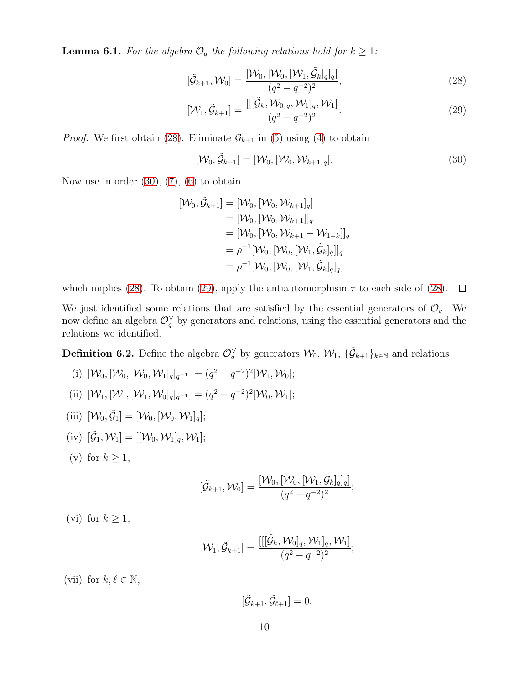<span id="page-9-4"></span>**Lemma 6.1.** For the algebra  $\mathcal{O}_q$  the following relations hold for  $k \geq 1$ :

<span id="page-9-0"></span>
$$
[\tilde{\mathcal{G}}_{k+1}, \mathcal{W}_0] = \frac{[\mathcal{W}_0, [\mathcal{W}_0, [\mathcal{W}_1, \tilde{\mathcal{G}}_k]_q]_q]}{(q^2 - q^{-2})^2},\tag{28}
$$

$$
[\mathcal{W}_1, \tilde{\mathcal{G}}_{k+1}] = \frac{[[[\tilde{\mathcal{G}}_k, \mathcal{W}_0]_q, \mathcal{W}_1]_q, \mathcal{W}_1]}{(q^2 - q^{-2})^2}.
$$
\n(29)

*Proof.* We first obtain [\(28\)](#page-9-0). Eliminate  $\mathcal{G}_{k+1}$  in [\(5\)](#page-5-5) using [\(4\)](#page-5-4) to obtain

<span id="page-9-2"></span><span id="page-9-1"></span>
$$
[\mathcal{W}_0, \tilde{\mathcal{G}}_{k+1}] = [\mathcal{W}_0, [\mathcal{W}_0, \mathcal{W}_{k+1}]_q].
$$
\n(30)

Now use in order  $(30)$ ,  $(7)$ ,  $(6)$  to obtain

$$
\begin{aligned} [\mathcal{W}_0, \tilde{\mathcal{G}}_{k+1}] &= [\mathcal{W}_0, [\mathcal{W}_0, \mathcal{W}_{k+1}]_q] \\ &= [\mathcal{W}_0, [\mathcal{W}_0, \mathcal{W}_{k+1}]]_q \\ &= [\mathcal{W}_0, [\mathcal{W}_0, \mathcal{W}_{k+1} - \mathcal{W}_{1-k}]]_q \\ &= \rho^{-1} [\mathcal{W}_0, [\mathcal{W}_0, [\mathcal{W}_1, \tilde{\mathcal{G}}_k]_q]]_q \\ &= \rho^{-1} [\mathcal{W}_0, [\mathcal{W}_0, [\mathcal{W}_1, \tilde{\mathcal{G}}_k]_q]_q] \end{aligned}
$$

which implies [\(28\)](#page-9-0). To obtain [\(29\)](#page-9-2), apply the antiautomorphism  $\tau$  to each side of (28).  $\Box$ 

We just identified some relations that are satisfied by the essential generators of  $\mathcal{O}_q$ . We now define an algebra  $\mathcal{O}_q^{\vee}$  by generators and relations, using the essential generators and the relations we identified.

<span id="page-9-3"></span>**Definition 6.2.** Define the algebra  $\mathcal{O}_q^{\vee}$  by generators  $\mathcal{W}_0$ ,  $\mathcal{W}_1$ ,  $\{\tilde{\mathcal{G}}_{k+1}\}_{k\in\mathbb{N}}$  and relations

(i) 
$$
[\mathcal{W}_0, [\mathcal{W}_0, [\mathcal{W}_0, \mathcal{W}_1]_q]_{q^{-1}}] = (q^2 - q^{-2})^2 [\mathcal{W}_1, \mathcal{W}_0];
$$

- (ii)  $[\mathcal{W}_1, [\mathcal{W}_1, [\mathcal{W}_1, \mathcal{W}_0]_q]_{q^{-1}}] = (q^2 q^{-2})^2 [\mathcal{W}_0, \mathcal{W}_1];$
- (iii)  $[\mathcal{W}_0, \tilde{\mathcal{G}}_1] = [\mathcal{W}_0, [\mathcal{W}_0, \mathcal{W}_1]_q];$
- (iv)  $[\tilde{G}_1, \mathcal{W}_1] = [[\mathcal{W}_0, \mathcal{W}_1]_q, \mathcal{W}_1];$
- (v) for  $k \geq 1$ ,

$$
[\tilde{\mathcal{G}}_{k+1}, \mathcal{W}_0] = \frac{[\mathcal{W}_0, [\mathcal{W}_0, [\mathcal{W}_1, \tilde{\mathcal{G}}_k]_q]_q]}{(q^2 - q^{-2})^2};
$$

(vi) for  $k \geq 1$ ,

$$
[{\cal W}_{1},\tilde{{\cal G}}_{k+1}]=\frac{[[[\tilde{{\cal G}}_{k},{\cal W}_{0}]_{q},{\cal W}_{1}]_{q},{\cal W}_{1}]}{(q^{2}-q^{-2})^{2}};
$$

(vii) for  $k, \ell \in \mathbb{N}$ ,

$$
[\tilde{\mathcal{G}}_{k+1}, \tilde{\mathcal{G}}_{\ell+1}] = 0.
$$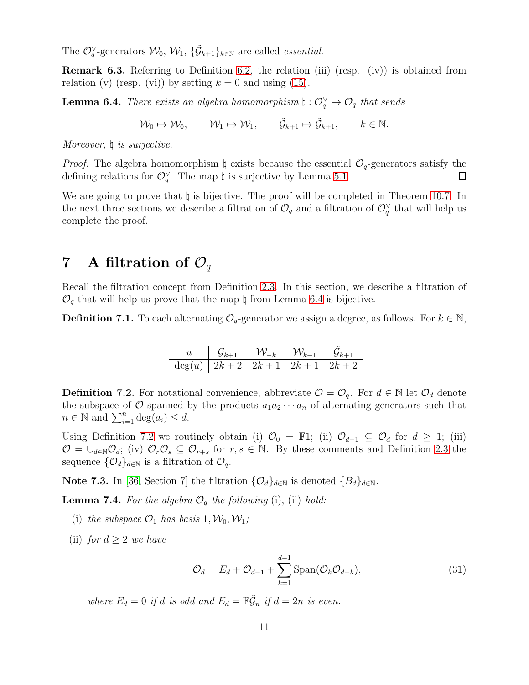The  $\mathcal{O}_q^{\vee}$ -generators  $\mathcal{W}_0$ ,  $\mathcal{W}_1$ ,  $\{\tilde{\mathcal{G}}_{k+1}\}_{k\in\mathbb{N}}$  are called *essential*.

**Remark 6.3.** Referring to Definition [6.2,](#page-9-3) the relation (iii) (resp. (iv)) is obtained from relation (v) (resp. (vi)) by setting  $k = 0$  and using [\(15\)](#page-5-9).

<span id="page-10-0"></span>**Lemma 6.4.** There exists an algebra homomorphism  $\natural : \mathcal{O}_q^{\vee} \to \mathcal{O}_q$  that sends

 $\mathcal{W}_0 \mapsto \mathcal{W}_0, \qquad \mathcal{W}_1 \mapsto \mathcal{W}_1, \qquad \tilde{\mathcal{G}}_{k+1} \mapsto \tilde{\mathcal{G}}_{k+1}, \qquad k \in \mathbb{N}.$ 

Moreover,  $\natural$  is surjective.

*Proof.* The algebra homomorphism  $\sharp$  exists because the essential  $\mathcal{O}_q$ -generators satisfy the defining relations for  $\mathcal{O}_q^{\vee}$ . The map  $\natural$  is surjective by Lemma [5.1.](#page-8-0)  $\Box$ 

We are going to prove that  $\natural$  is bijective. The proof will be completed in Theorem [10.7.](#page-15-0) In the next three sections we describe a filtration of  $\mathcal{O}_q$  and a filtration of  $\mathcal{O}_q^{\vee}$  that will help us complete the proof.

### 7 A filtration of  $\mathcal{O}_q$

Recall the filtration concept from Definition [2.3.](#page-3-0) In this section, we describe a filtration of  $\mathcal{O}_q$  that will help us prove that the map  $\natural$  from Lemma [6.4](#page-10-0) is bijective.

<span id="page-10-3"></span>**Definition 7.1.** To each alternating  $\mathcal{O}_q$ -generator we assign a degree, as follows. For  $k \in \mathbb{N}$ ,

$$
\begin{array}{c|ccccc}\nu & \mathcal{G}_{k+1} & \mathcal{W}_{-k} & \mathcal{W}_{k+1} & \tilde{\mathcal{G}}_{k+1} \\
\hline \deg(u) & 2k+2 & 2k+1 & 2k+1 & 2k+2\n\end{array}
$$

<span id="page-10-1"></span>**Definition 7.2.** For notational convenience, abbreviate  $\mathcal{O} = \mathcal{O}_q$ . For  $d \in \mathbb{N}$  let  $\mathcal{O}_d$  denote the subspace of  $\mathcal O$  spanned by the products  $a_1a_2\cdots a_n$  of alternating generators such that  $n \in \mathbb{N}$  and  $\sum_{i=1}^n \deg(a_i) \leq d$ .

Using Definition [7.2](#page-10-1) we routinely obtain (i)  $\mathcal{O}_0 = \mathbb{F}1$ ; (ii)  $\mathcal{O}_{d-1} \subseteq \mathcal{O}_d$  for  $d \geq 1$ ; (iii)  $\mathcal{O} = \bigcup_{d \in \mathbb{N}} \mathcal{O}_d$ ; (iv)  $\mathcal{O}_r \mathcal{O}_s \subseteq \mathcal{O}_{r+s}$  for  $r, s \in \mathbb{N}$ . By these comments and Definition [2.3](#page-3-0) the sequence  $\{\mathcal{O}_d\}_{d\in\mathbb{N}}$  is a filtration of  $\mathcal{O}_q$ .

Note 7.3. In [\[36,](#page-24-11) Section 7] the filtration  $\{\mathcal{O}_d\}_{d\in\mathbb{N}}$  is denoted  $\{B_d\}_{d\in\mathbb{N}}$ .

<span id="page-10-4"></span>**Lemma 7.4.** For the algebra  $\mathcal{O}_q$  the following (i), (ii) hold:

- (i) the subspace  $\mathcal{O}_1$  has basis  $1, \mathcal{W}_0, \mathcal{W}_1$ ;
- (ii) for  $d \geq 2$  we have

<span id="page-10-2"></span>
$$
\mathcal{O}_d = E_d + \mathcal{O}_{d-1} + \sum_{k=1}^{d-1} \text{Span}(\mathcal{O}_k \mathcal{O}_{d-k}),\tag{31}
$$

where  $E_d = 0$  if d is odd and  $E_d = \mathbb{F}\tilde{\mathcal{G}}_n$  if  $d = 2n$  is even.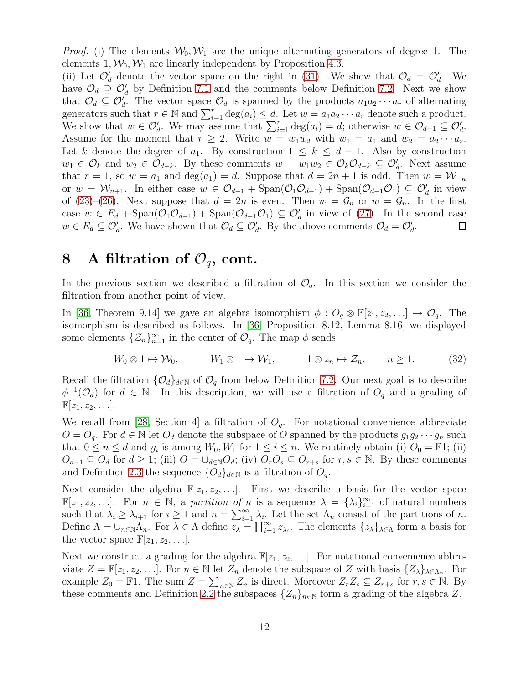*Proof.* (i) The elements  $W_0, W_1$  are the unique alternating generators of degree 1. The elements  $1, \mathcal{W}_0, \mathcal{W}_1$  are linearly independent by Proposition [4.3.](#page-5-10)

(ii) Let  $\mathcal{O}'_d$  denote the vector space on the right in [\(31\)](#page-10-2). We show that  $\mathcal{O}_d = \mathcal{O}'_d$ . We have  $\mathcal{O}_d \supseteq \mathcal{O}'_d$  by Definition [7.1](#page-10-3) and the comments below Definition [7.2.](#page-10-1) Next we show that  $\mathcal{O}_d \subseteq \mathcal{O}'_d$ . The vector space  $\mathcal{O}_d$  is spanned by the products  $a_1 a_2 \cdots a_r$  of alternating generators such that  $r \in \mathbb{N}$  and  $\sum_{i=1}^r \deg(a_i) \leq d$ . Let  $w = a_1 a_2 \cdots a_r$  denote such a product. We show that  $w \in \mathcal{O}'_d$ . We may assume that  $\sum_{i=1}^r \deg(a_i) = d$ ; otherwise  $w \in \mathcal{O}_{d-1} \subseteq \mathcal{O}'_d$ . Assume for the moment that  $r \geq 2$ . Write  $w = w_1w_2$  with  $w_1 = a_1$  and  $w_2 = a_2 \cdots a_r$ . Let k denote the degree of  $a_1$ . By construction  $1 \leq k \leq d-1$ . Also by construction  $w_1 \in \mathcal{O}_k$  and  $w_2 \in \mathcal{O}_{d-k}$ . By these comments  $w = w_1w_2 \in \mathcal{O}_k\mathcal{O}_{d-k} \subseteq \mathcal{O}'_d$ . Next assume that  $r = 1$ , so  $w = a_1$  and  $deg(a_1) = d$ . Suppose that  $d = 2n + 1$  is odd. Then  $w = W_{-n}$ or  $w = W_{n+1}$ . In either case  $w \in \mathcal{O}_{d-1} + \text{Span}(\mathcal{O}_1 \mathcal{O}_{d-1}) + \text{Span}(\mathcal{O}_{d-1} \mathcal{O}_1) \subseteq \mathcal{O}'_d$  in view of [\(23\)](#page-8-2)–[\(26\)](#page-8-3). Next suppose that  $d = 2n$  is even. Then  $w = \mathcal{G}_n$  or  $w = \tilde{\mathcal{G}}_n$ . In the first case  $w \in E_d + \text{Span}(\mathcal{O}_1 \mathcal{O}_{d-1}) + \text{Span}(\mathcal{O}_{d-1} \mathcal{O}_1) \subseteq \mathcal{O}'_d$  in view of [\(27\)](#page-8-4). In the second case  $w \in E_d \subseteq \mathcal{O}'_d$ . We have shown that  $\mathcal{O}_d \subseteq \mathcal{O}'_d$ . By the above comments  $\mathcal{O}_d = \mathcal{O}'_d$ .  $\Box$ 

## 8 A filtration of  $\mathcal{O}_q$ , cont.

In the previous section we described a filtration of  $\mathcal{O}_q$ . In this section we consider the filtration from another point of view.

In [\[36,](#page-24-11) Theorem 9.14] we gave an algebra isomorphism  $\phi: O_q \otimes \mathbb{F}[z_1, z_2, \ldots] \to \mathcal{O}_q$ . The isomorphism is described as follows. In [\[36,](#page-24-11) Proposition 8.12, Lemma 8.16] we displayed some elements  $\{\mathcal{Z}_n\}_{n=1}^{\infty}$  in the center of  $\mathcal{O}_q$ . The map  $\phi$  sends

<span id="page-11-0"></span>
$$
W_0 \otimes 1 \mapsto \mathcal{W}_0, \qquad W_1 \otimes 1 \mapsto \mathcal{W}_1, \qquad 1 \otimes z_n \mapsto \mathcal{Z}_n, \qquad n \ge 1. \tag{32}
$$

Recall the filtration  $\{\mathcal{O}_d\}_{d\in\mathbb{N}}$  of  $\mathcal{O}_q$  from below Definition [7.2.](#page-10-1) Our next goal is to describe  $\phi^{-1}(\mathcal{O}_d)$  for  $d \in \mathbb{N}$ . In this description, we will use a filtration of  $O_q$  and a grading of  $\mathbb{F}[z_1, z_2, \ldots].$ 

We recall from [\[28,](#page-24-16) Section 4] a filtration of  $O_q$ . For notational convenience abbreviate  $O = O_q$ . For  $d \in \mathbb{N}$  let  $O_d$  denote the subspace of O spanned by the products  $g_1g_2\cdots g_n$  such that  $0 \le n \le d$  and  $g_i$  is among  $W_0, W_1$  for  $1 \le i \le n$ . We routinely obtain (i)  $O_0 = \mathbb{F}1$ ; (ii)  $O_{d-1} \subseteq O_d$  for  $d \geq 1$ ; (iii)  $O = \bigcup_{d \in \mathbb{N}} O_d$ ; (iv)  $O_r O_s \subseteq O_{r+s}$  for  $r, s \in \mathbb{N}$ . By these comments and Definition [2.3](#page-3-0) the sequence  $\{O_d\}_{d\in\mathbb{N}}$  is a filtration of  $O_q$ .

Next consider the algebra  $\mathbb{F}[z_1, z_2, \ldots]$ . First we describe a basis for the vector space  $\mathbb{F}[z_1, z_2, \ldots]$ . For  $n \in \mathbb{N}$ , a partition of n is a sequence  $\lambda = {\lambda_i}_{i=1}^{\infty}$  of natural numbers such that  $\lambda_i \geq \lambda_{i+1}$  for  $i \geq 1$  and  $n = \sum_{i=1}^{\infty} \lambda_i$ . Let the set  $\Lambda_n$  consist of the partitions of n. Define  $\Lambda = \bigcup_{n \in \mathbb{N}} \Lambda_n$ . For  $\lambda \in \Lambda$  define  $\overline{z_{\lambda}} = \prod_{i=1}^{\infty} z_{\lambda_i}$ . The elements  $\{z_{\lambda}\}_{\lambda \in \Lambda}$  form a basis for the vector space  $\mathbb{F}[z_1, z_2, \ldots]$ .

Next we construct a grading for the algebra  $\mathbb{F}[z_1, z_2, \ldots]$ . For notational convenience abbreviate  $Z = \mathbb{F}[z_1, z_2, \ldots]$ . For  $n \in \mathbb{N}$  let  $Z_n$  denote the subspace of Z with basis  $\{Z_{\lambda}\}_{\lambda \in \Lambda_n}$ . For example  $Z_0 = \mathbb{F}1$ . The sum  $Z = \sum_{n \in \mathbb{N}} Z_n$  is direct. Moreover  $Z_r Z_s \subseteq Z_{r+s}$  for  $r, s \in \mathbb{N}$ . By these comments and Definition [2.2](#page-3-1) the subspaces  $\{Z_n\}_{n\in\mathbb{N}}$  form a grading of the algebra Z.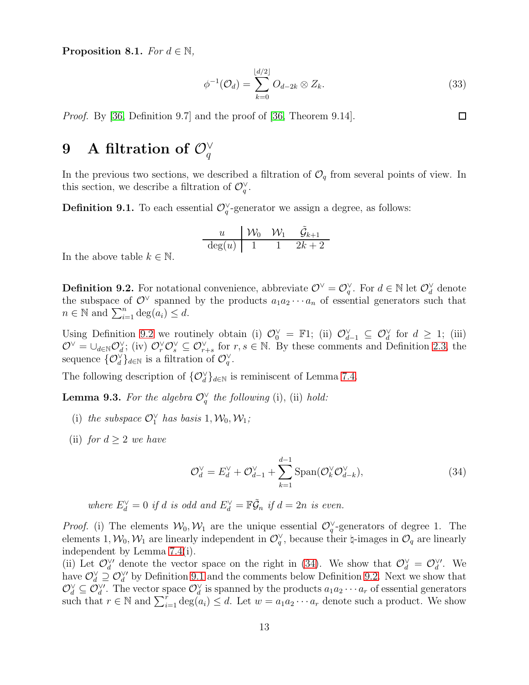<span id="page-12-3"></span>Proposition 8.1. For  $d \in \mathbb{N}$ ,

$$
\phi^{-1}(\mathcal{O}_d) = \sum_{k=0}^{\lfloor d/2 \rfloor} O_{d-2k} \otimes Z_k.
$$
\n(33)

 $\Box$ 

Proof. By [\[36,](#page-24-11) Definition 9.7] and the proof of [\[36,](#page-24-11) Theorem 9.14].

## $9$  A filtration of  $\mathcal{O}^\vee_q$

In the previous two sections, we described a filtration of  $\mathcal{O}_q$  from several points of view. In this section, we describe a filtration of  $\mathcal{O}_q^{\vee}$ .

<span id="page-12-2"></span>**Definition 9.1.** To each essential  $\mathcal{O}_q^{\vee}$ -generator we assign a degree, as follows:

$$
\begin{array}{c|cc}\n u & \mathcal{W}_0 & \mathcal{W}_1 & \tilde{\mathcal{G}}_{k+1} \\
\hline\n\deg(u) & 1 & 1 & 2k+2\n\end{array}
$$

In the above table  $k \in \mathbb{N}$ .

<span id="page-12-0"></span>**Definition 9.2.** For notational convenience, abbreviate  $\mathcal{O}^{\vee} = \mathcal{O}_{q}^{\vee}$ . For  $d \in \mathbb{N}$  let  $\mathcal{O}_{d}^{\vee}$  denote the subspace of  $\mathcal{O}^{\vee}$  spanned by the products  $a_1 a_2 \cdots a_n$  of essential generators such that  $n \in \mathbb{N}$  and  $\sum_{i=1}^n \deg(a_i) \leq d$ .

Using Definition [9.2](#page-12-0) we routinely obtain (i)  $\mathcal{O}_0^{\vee} = \mathbb{F}1$ ; (ii)  $\mathcal{O}_{d-1}^{\vee} \subseteq \mathcal{O}_d^{\vee}$  for  $d \geq 1$ ; (iii)  $\mathcal{O}^{\vee} = \cup_{d \in \mathbb{N}} \mathcal{O}_d^{\vee}$ ; (iv)  $\mathcal{O}_r^{\vee} \mathcal{O}_s^{\vee} \subseteq \mathcal{O}_{r+s}^{\vee}$  for  $r, s \in \mathbb{N}$ . By these comments and Definition [2.3,](#page-3-0) the sequence  $\{ \mathcal{O}_d^{\vee} \}_{d \in \mathbb{N}}$  is a filtration of  $\mathcal{O}_q^{\vee}$ .

The following description of  ${O_d^{\vee}}_{d \in \mathbb{N}}$  is reminiscent of Lemma [7.4.](#page-10-4)

<span id="page-12-4"></span>**Lemma 9.3.** For the algebra  $\mathcal{O}_q^{\vee}$  the following (i), (ii) hold:

- (i) the subspace  $\mathcal{O}_1^{\vee}$  has basis  $1, \mathcal{W}_0, \mathcal{W}_1;$
- (ii) for  $d \geq 2$  we have

<span id="page-12-1"></span>
$$
\mathcal{O}_d^{\vee} = E_d^{\vee} + \mathcal{O}_{d-1}^{\vee} + \sum_{k=1}^{d-1} \text{Span}(\mathcal{O}_k^{\vee} \mathcal{O}_{d-k}^{\vee}),\tag{34}
$$

where 
$$
E_d^{\vee} = 0
$$
 if d is odd and  $E_d^{\vee} = \mathbb{F}\tilde{\mathcal{G}}_n$  if  $d = 2n$  is even.

*Proof.* (i) The elements  $W_0, W_1$  are the unique essential  $\mathcal{O}_q^{\vee}$ -generators of degree 1. The elements 1,  $W_0, W_1$  are linearly independent in  $\mathcal{O}_q^{\vee}$ , because their  $\sharp$ -images in  $\mathcal{O}_q$  are linearly independent by Lemma [7.4\(](#page-10-4)i).

(ii) Let  $\mathcal{O}_d^{\vee\prime}$  denote the vector space on the right in [\(34\)](#page-12-1). We show that  $\mathcal{O}_d^{\vee} = \mathcal{O}_d^{\vee\prime}$ . We have  $\mathcal{O}_d^{\vee} \supseteq \mathcal{O}_d^{\vee}$  by Definition [9.1](#page-12-2) and the comments below Definition [9.2.](#page-12-0) Next we show that  $\mathcal{O}_d^{\vee} \subseteq \mathcal{O}_d^{\vee'}$ . The vector space  $\mathcal{O}_d^{\vee}$  is spanned by the products  $a_1a_2\cdots a_r$  of essential generators such that  $r \in \mathbb{N}$  and  $\sum_{i=1}^r \deg(a_i) \leq d$ . Let  $w = a_1 a_2 \cdots a_r$  denote such a product. We show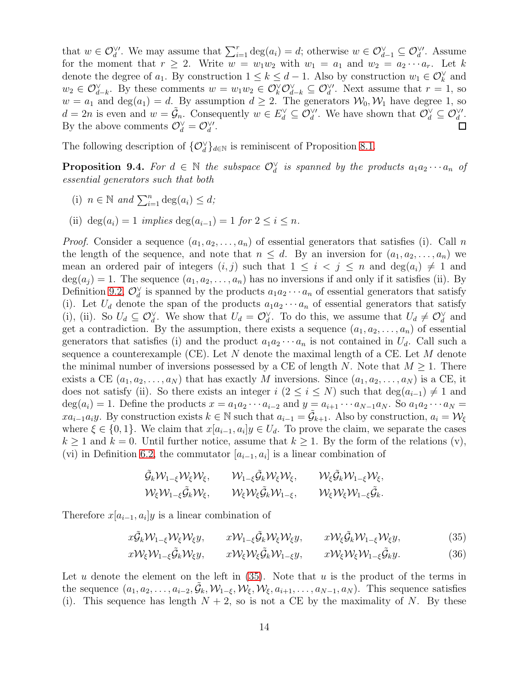that  $w \in \mathcal{O}_d^{\vee}$ . We may assume that  $\sum_{i=1}^r \deg(a_i) = d$ ; otherwise  $w \in \mathcal{O}_{d-1}^{\vee} \subseteq \mathcal{O}_d^{\vee}$ . Assume for the moment that  $r \geq 2$ . Write  $w = w_1w_2$  with  $w_1 = a_1$  and  $w_2 = a_2 \cdots a_r$ . Let k denote the degree of  $a_1$ . By construction  $1 \leq k \leq d-1$ . Also by construction  $w_1 \in \mathcal{O}_k^{\vee}$  and  $w_2 \in \mathcal{O}_{d-k}^{\vee}$ . By these comments  $w = w_1w_2 \in \mathcal{O}_{k}^{\vee}\mathcal{O}_{d-k}^{\vee} \subseteq \mathcal{O}_{d}^{\vee}$ . Next assume that  $r = 1$ , so  $w = a_1$  and  $deg(a_1) = d$ . By assumption  $d \geq 2$ . The generators  $\mathcal{W}_0, \mathcal{W}_1$  have degree 1, so  $d = 2n$  is even and  $w = \tilde{\mathcal{G}}_n$ . Consequently  $w \in E_d^{\vee} \subseteq \mathcal{O}_d^{\vee\prime}$ . We have shown that  $\mathcal{O}_d^{\vee} \subseteq \mathcal{O}_d^{\vee\prime}$ . By the above comments  $\mathcal{O}_d^{\vee} = \mathcal{O}_d^{\vee}$ .  $\Box$ 

The following description of  ${O_d^{\vee}}_{d \in \mathbb{N}}$  is reminiscent of Proposition [8.1.](#page-12-3)

<span id="page-13-2"></span>**Proposition 9.4.** For  $d \in \mathbb{N}$  the subspace  $\mathcal{O}_d^{\vee}$  is spanned by the products  $a_1a_2\cdots a_n$  of essential generators such that both

- (i)  $n \in \mathbb{N}$  and  $\sum_{i=1}^{n} \deg(a_i) \leq d$ ;
- (ii) deg( $a_i$ ) = 1 implies deg( $a_{i-1}$ ) = 1 for  $2 \leq i \leq n$ .

*Proof.* Consider a sequence  $(a_1, a_2, \ldots, a_n)$  of essential generators that satisfies (i). Call n the length of the sequence, and note that  $n \leq d$ . By an inversion for  $(a_1, a_2, \ldots, a_n)$  we mean an ordered pair of integers  $(i, j)$  such that  $1 \leq i \leq j \leq n$  and  $\deg(a_i) \neq 1$  and  $deg(a_i) = 1$ . The sequence  $(a_1, a_2, \ldots, a_n)$  has no inversions if and only if it satisfies (ii). By Definition [9.2,](#page-12-0)  $\mathcal{O}_d^{\vee}$  is spanned by the products  $a_1a_2\cdots a_n$  of essential generators that satisfy (i). Let  $U_d$  denote the span of the products  $a_1a_2\cdots a_n$  of essential generators that satisfy (i), (ii). So  $U_d \subseteq \mathcal{O}_d^{\vee}$ . We show that  $U_d = \mathcal{O}_d^{\vee}$ . To do this, we assume that  $U_d \neq \mathcal{O}_d^{\vee}$  and get a contradiction. By the assumption, there exists a sequence  $(a_1, a_2, \ldots, a_n)$  of essential generators that satisfies (i) and the product  $a_1a_2\cdots a_n$  is not contained in  $U_d$ . Call such a sequence a counterexample (CE). Let  $N$  denote the maximal length of a CE. Let  $M$  denote the minimal number of inversions possessed by a CE of length N. Note that  $M \geq 1$ . There exists a CE  $(a_1, a_2, \ldots, a_N)$  that has exactly M inversions. Since  $(a_1, a_2, \ldots, a_N)$  is a CE, it does not satisfy (ii). So there exists an integer  $i$  ( $2 \le i \le N$ ) such that  $\deg(a_{i-1}) \neq 1$  and  $deg(a_i) = 1$ . Define the products  $x = a_1 a_2 \cdots a_{i-2}$  and  $y = a_{i+1} \cdots a_{N-1} a_N$ . So  $a_1 a_2 \cdots a_N =$  $xa_{i-1}a_iy$ . By construction exists  $k \in \mathbb{N}$  such that  $a_{i-1} = \tilde{G}_{k+1}$ . Also by construction,  $a_i = \mathcal{W}_{\xi}$ where  $\xi \in \{0,1\}$ . We claim that  $x[a_{i-1}, a_i]y \in U_d$ . To prove the claim, we separate the cases  $k \geq 1$  and  $k = 0$ . Until further notice, assume that  $k \geq 1$ . By the form of the relations (v), (vi) in Definition [6.2,](#page-9-3) the commutator  $[a_{i-1}, a_i]$  is a linear combination of

<span id="page-13-1"></span><span id="page-13-0"></span>
$$
\begin{aligned}\n\tilde{\mathcal{G}}_k \mathcal{W}_{1-\xi} \mathcal{W}_\xi \mathcal{W}_\xi, & \mathcal{W}_{1-\xi} \tilde{\mathcal{G}}_k \mathcal{W}_\xi \mathcal{W}_\xi, & \mathcal{W}_\xi \tilde{\mathcal{G}}_k \mathcal{W}_{1-\xi} \mathcal{W}_\xi, \\
\mathcal{W}_\xi \mathcal{W}_{1-\xi} \tilde{\mathcal{G}}_k \mathcal{W}_\xi, & \mathcal{W}_\xi \mathcal{W}_\xi \tilde{\mathcal{G}}_k \mathcal{W}_{1-\xi}, & \mathcal{W}_\xi \mathcal{W}_\xi \mathcal{W}_{1-\xi} \tilde{\mathcal{G}}_k.\n\end{aligned}
$$

Therefore  $x[a_{i-1}, a_i]y$  is a linear combination of

$$
x\tilde{\mathcal{G}}_k \mathcal{W}_{1-\xi} \mathcal{W}_\xi \mathcal{W}_\xi y, \qquad x\mathcal{W}_{1-\xi} \tilde{\mathcal{G}}_k \mathcal{W}_\xi \mathcal{W}_\xi y, \qquad x\mathcal{W}_\xi \tilde{\mathcal{G}}_k \mathcal{W}_{1-\xi} \mathcal{W}_\xi y,\tag{35}
$$

$$
x\mathcal{W}_{\xi}\mathcal{W}_{1-\xi}\tilde{\mathcal{G}}_{k}\mathcal{W}_{\xi}y, \qquad x\mathcal{W}_{\xi}\mathcal{W}_{\xi}\tilde{\mathcal{G}}_{k}\mathcal{W}_{1-\xi}y, \qquad x\mathcal{W}_{\xi}\mathcal{W}_{\xi}\mathcal{W}_{1-\xi}\tilde{\mathcal{G}}_{k}y.
$$
 (36)

Let  $u$  denote the element on the left in  $(35)$ . Note that  $u$  is the product of the terms in the sequence  $(a_1, a_2, \ldots, a_{i-2}, \tilde{\mathcal{G}}_k, \mathcal{W}_{1-\xi}, \mathcal{W}_{\xi}, \mathcal{W}_{\xi}, a_{i+1}, \ldots, a_{N-1}, a_N)$ . This sequence satisfies (i). This sequence has length  $N + 2$ , so is not a CE by the maximality of N. By these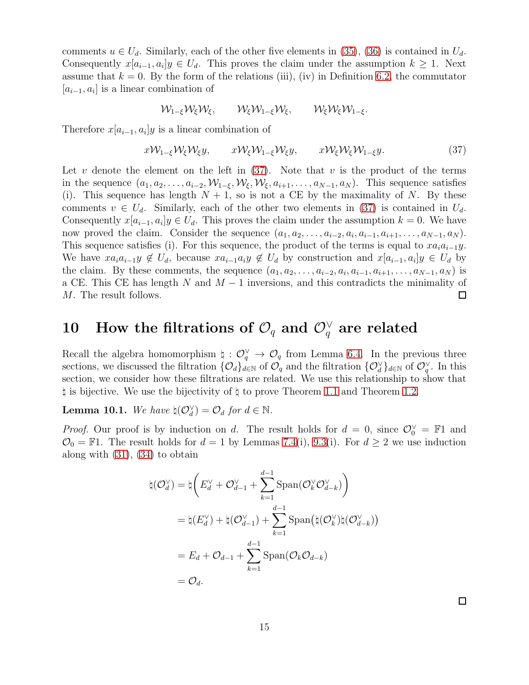comments  $u \in U_d$ . Similarly, each of the other five elements in [\(35\)](#page-13-0), [\(36\)](#page-13-1) is contained in  $U_d$ . Consequently  $x[a_{i-1}, a_i]y \in U_d$ . This proves the claim under the assumption  $k \geq 1$ . Next assume that  $k = 0$ . By the form of the relations (iii), (iv) in Definition [6.2,](#page-9-3) the commutator  $[a_{i-1}, a_i]$  is a linear combination of

<span id="page-14-0"></span>
$$
\mathcal{W}_{1-\xi}\mathcal{W}_{\xi}\mathcal{W}_{\xi}, \qquad \mathcal{W}_{\xi}\mathcal{W}_{1-\xi}\mathcal{W}_{\xi}, \qquad \mathcal{W}_{\xi}\mathcal{W}_{\xi}\mathcal{W}_{1-\xi}.
$$

Therefore  $x[a_{i-1}, a_i]y$  is a linear combination of

$$
xW_{1-\xi}W_{\xi}W_{\xi}y, \qquad xW_{\xi}W_{1-\xi}W_{\xi}y, \qquad xW_{\xi}W_{\xi}W_{1-\xi}y. \tag{37}
$$

Let v denote the element on the left in  $(37)$ . Note that v is the product of the terms in the sequence  $(a_1, a_2, \ldots, a_{i-2}, W_{1-\xi}, W_{\xi}, W_{\xi}, a_{i+1}, \ldots, a_{N-1}, a_N)$ . This sequence satisfies (i). This sequence has length  $N + 1$ , so is not a CE by the maximality of N. By these comments  $v \in U_d$ . Similarly, each of the other two elements in [\(37\)](#page-14-0) is contained in  $U_d$ . Consequently  $x[a_{i-1}, a_i]y \in U_d$ . This proves the claim under the assumption  $k = 0$ . We have now proved the claim. Consider the sequence  $(a_1, a_2, \ldots, a_{i-2}, a_i, a_{i-1}, a_{i+1}, \ldots, a_{N-1}, a_N)$ . This sequence satisfies (i). For this sequence, the product of the terms is equal to  $xa_ia_{i-1}y$ . We have  $xa_ia_{i-1}y \notin U_d$ , because  $xa_{i-1}a_iy \notin U_d$  by construction and  $x[a_{i-1}, a_i]y \in U_d$  by the claim. By these comments, the sequence  $(a_1, a_2, \ldots, a_{i-2}, a_i, a_{i-1}, a_{i+1}, \ldots, a_{N-1}, a_N)$  is a CE. This CE has length  $N$  and  $M-1$  inversions, and this contradicts the minimality of M. The result follows.  $\Box$ 

## $10 \quad \text{How the filtrations of } \mathcal{O}_q \text{ and } \mathcal{O}_q^{\vee} \text{ are related}$

Recall the algebra homomorphism  $\natural : \mathcal{O}_q^{\vee} \to \mathcal{O}_q$  from Lemma [6.4.](#page-10-0) In the previous three sections, we discussed the filtration  $\{O_d\}_{d\in\mathbb{N}}$  of  $O_q$  and the filtration  $\{O_d^{\vee}\}_{d\in\mathbb{N}}$  of  $O_q^{\vee}$ . In this section, we consider how these filtrations are related. We use this relationship to show that ♮ is bijective. We use the bijectivity of ♮ to prove Theorem [1.1](#page-2-0) and Theorem [1.2.](#page-2-1)

<span id="page-14-1"></span>**Lemma 10.1.** We have  $\natural(\mathcal{O}_d^{\vee}) = \mathcal{O}_d$  for  $d \in \mathbb{N}$ .

*Proof.* Our proof is by induction on d. The result holds for  $d = 0$ , since  $\mathcal{O}_0^{\vee} = \mathbb{F}1$  and  $\mathcal{O}_0 = \mathbb{F}1$ . The result holds for  $d = 1$  by Lemmas [7.4\(](#page-10-4)i), [9.3\(](#page-12-4)i). For  $d \geq 2$  we use induction along with [\(31\)](#page-10-2), [\(34\)](#page-12-1) to obtain

$$
\natural(\mathcal{O}_d^{\vee}) = \natural \bigg( E_d^{\vee} + \mathcal{O}_{d-1}^{\vee} + \sum_{k=1}^{d-1} \mathrm{Span}(\mathcal{O}_k^{\vee} \mathcal{O}_{d-k}^{\vee}) \bigg)
$$
  
=  $\natural(E_d^{\vee}) + \natural(\mathcal{O}_{d-1}^{\vee}) + \sum_{k=1}^{d-1} \mathrm{Span}(\natural(\mathcal{O}_k^{\vee})\natural(\mathcal{O}_{d-k}^{\vee}))$   
=  $E_d + \mathcal{O}_{d-1} + \sum_{k=1}^{d-1} \mathrm{Span}(\mathcal{O}_k \mathcal{O}_{d-k})$   
=  $\mathcal{O}_d$ .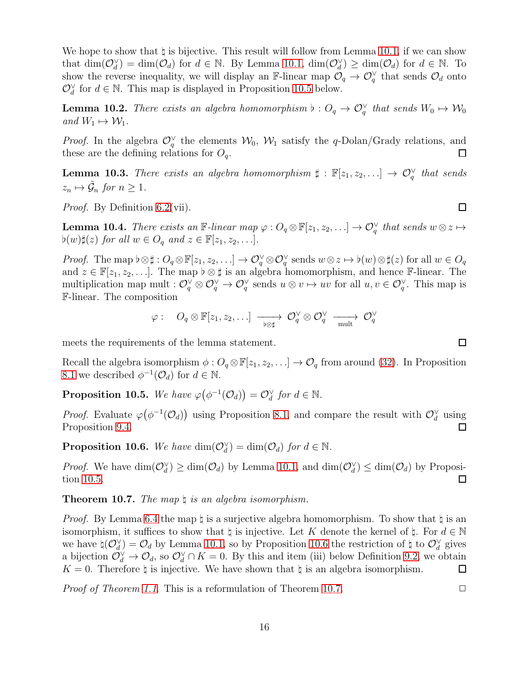We hope to show that  $\natural$  is bijective. This result will follow from Lemma [10.1,](#page-14-1) if we can show that  $\dim(\mathcal{O}_d^{\vee}) = \dim(\mathcal{O}_d)$  for  $d \in \mathbb{N}$ . By Lemma [10.1,](#page-14-1)  $\dim(\mathcal{O}_d^{\vee}) \geq \dim(\mathcal{O}_d)$  for  $d \in \mathbb{N}$ . To show the reverse inequality, we will display an F-linear map  $\mathcal{O}_q \to \mathcal{O}_q^{\vee}$  that sends  $\mathcal{O}_d$  onto  $\mathcal{O}_d^{\vee}$  for  $d \in \mathbb{N}$ . This map is displayed in Proposition [10.5](#page-15-1) below.

<span id="page-15-4"></span>**Lemma 10.2.** There exists an algebra homomorphism  $\flat: O_q \to O_q^{\vee}$  that sends  $W_0 \mapsto W_0$ and  $W_1 \mapsto W_1$ .

*Proof.* In the algebra  $\mathcal{O}_q^{\vee}$  the elements  $\mathcal{W}_0$ ,  $\mathcal{W}_1$  satisfy the q-Dolan/Grady relations, and these are the defining relations for  $O_q$ .  $\Box$ 

<span id="page-15-5"></span>**Lemma 10.3.** There exists an algebra homomorphism  $\sharp : \mathbb{F}[z_1, z_2, \ldots] \to \mathcal{O}_q^{\vee}$  that sends  $z_n \mapsto \tilde{\mathcal{G}}_n$  for  $n \geq 1$ .

Proof. By Definition [6.2\(](#page-9-3)vii).

<span id="page-15-3"></span>**Lemma 10.4.** There exists an  $\mathbb{F}-$ linear map  $\varphi: O_q \otimes \mathbb{F}[z_1, z_2, \ldots] \to O_q^{\vee}$  that sends  $w \otimes z \mapsto$  $\flat(w)\sharp(z)$  for all  $w \in O_q$  and  $z \in \mathbb{F}[z_1, z_2, \ldots]$ .

*Proof.* The map  $\flat \otimes \sharp : O_q \otimes \mathbb{F}[z_1, z_2, \ldots] \to O_q^{\vee} \otimes O_q^{\vee}$  sends  $w \otimes z \mapsto \flat(w) \otimes \sharp(z)$  for all  $w \in O_q$ and  $z \in \mathbb{F}[z_1, z_2, \ldots]$ . The map  $\flat \otimes \sharp$  is an algebra homomorphism, and hence F-linear. The multiplication map mult :  $\mathcal{O}_q^{\vee} \otimes \mathcal{O}_q^{\vee} \to \mathcal{O}_q^{\vee}$  sends  $u \otimes v \mapsto uv$  for all  $u, v \in \mathcal{O}_q^{\vee}$ . This map is F-linear. The composition

$$
\varphi: \quad O_q\otimes \mathbb F[z_1,z_2,\ldots] \; \xrightarrow[\flat\otimes\sharp]{} \; \mathcal O_q^{\vee} \otimes \mathcal O_q^{\vee} \; \xrightarrow[\text{mult}]\;} \; \mathcal O_q^{\vee}
$$

meets the requirements of the lemma statement.

Recall the algebra isomorphism  $\phi: O_q \otimes \mathbb{F}[z_1, z_2, \ldots] \to O_q$  from around [\(32\)](#page-11-0). In Proposition [8.1](#page-12-3) we described  $\phi^{-1}(\mathcal{O}_d)$  for  $d \in \mathbb{N}$ .

<span id="page-15-1"></span>**Proposition 10.5.** We have  $\varphi(\phi^{-1}(\mathcal{O}_d)) = \mathcal{O}_d^{\vee}$  for  $d \in \mathbb{N}$ .

*Proof.* Evaluate  $\varphi(\phi^{-1}(\mathcal{O}_d))$  using Proposition [8.1,](#page-12-3) and compare the result with  $\mathcal{O}_d^{\vee}$  using Proposition [9.4.](#page-13-2)  $\Box$ 

<span id="page-15-2"></span>**Proposition 10.6.** We have  $\dim(\mathcal{O}_d^{\vee}) = \dim(\mathcal{O}_d)$  for  $d \in \mathbb{N}$ .

*Proof.* We have  $\dim(\mathcal{O}_d^{\vee}) \ge \dim(\mathcal{O}_d)$  by Lemma [10.1,](#page-14-1) and  $\dim(\mathcal{O}_d^{\vee}) \le \dim(\mathcal{O}_d)$  by Proposition [10.5.](#page-15-1)  $\Box$ 

<span id="page-15-0"></span>**Theorem 10.7.** The map  $\natural$  is an algebra isomorphism.

*Proof.* By Lemma [6.4](#page-10-0) the map  $\sharp$  is a surjective algebra homomorphism. To show that  $\sharp$  is an isomorphism, it suffices to show that  $\natural$  is injective. Let K denote the kernel of  $\natural$ . For  $d \in \mathbb{N}$ we have  $\natural(\mathcal{O}_d^{\vee}) = \mathcal{O}_d$  by Lemma [10.1,](#page-14-1) so by Proposition [10.6](#page-15-2) the restriction of  $\natural$  to  $\mathcal{O}_d^{\vee}$  gives a bijection  $\mathcal{O}_d^{\vee} \to \mathcal{O}_d$ , so  $\mathcal{O}_d^{\vee} \cap K = 0$ . By this and item (iii) below Definition [9.2,](#page-12-0) we obtain  $K = 0$ . Therefore  $\natural$  is injective. We have shown that  $\natural$  is an algebra isomorphism.  $\Box$ 

*Proof of Theorem [1.1](#page-2-0).* This is a reformulation of Theorem [10.7.](#page-15-0)  $\Box$ 

 $\Box$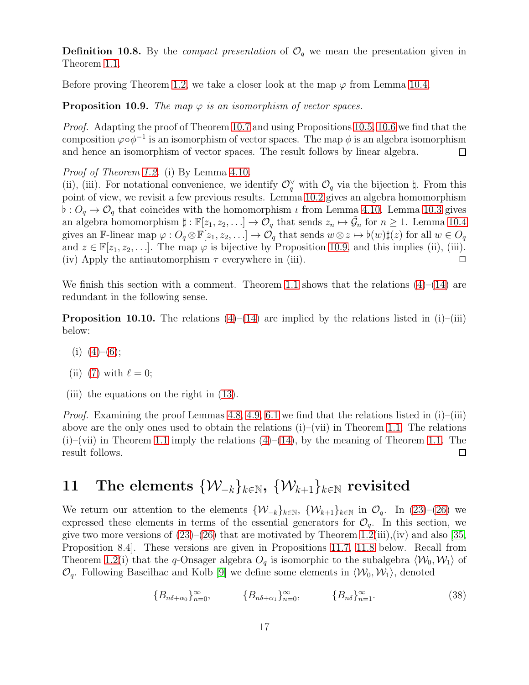**Definition 10.8.** By the *compact presentation* of  $\mathcal{O}_q$  we mean the presentation given in Theorem [1.1.](#page-2-0)

Before proving Theorem [1.2,](#page-2-1) we take a closer look at the map  $\varphi$  from Lemma [10.4.](#page-15-3)

<span id="page-16-0"></span>**Proposition 10.9.** The map  $\varphi$  is an isomorphism of vector spaces.

Proof. Adapting the proof of Theorem [10.7](#page-15-0) and using Propositions [10.5,](#page-15-1) [10.6](#page-15-2) we find that the composition  $\varphi \circ \phi^{-1}$  is an isomorphism of vector spaces. The map  $\phi$  is an algebra isomorphism and hence an isomorphism of vector spaces. The result follows by linear algebra.  $\Box$ 

Proof of Theorem [1.2.](#page-2-1) (i) By Lemma [4.10.](#page-7-0)

(ii), (iii). For notational convenience, we identify  $\mathcal{O}_q^{\vee}$  with  $\mathcal{O}_q$  via the bijection  $\natural$ . From this point of view, we revisit a few previous results. Lemma [10.2](#page-15-4) gives an algebra homomorphism  $\flat: O_q \to \mathcal{O}_q$  that coincides with the homomorphism  $\iota$  from Lemma [4.10.](#page-7-0) Lemma [10.3](#page-15-5) gives an algebra homomorphism  $\sharp : \mathbb{F}[z_1, z_2, \ldots] \to \mathcal{O}_q$  that sends  $z_n \mapsto \tilde{\mathcal{G}}_n$  for  $n \geq 1$ . Lemma [10.4](#page-15-3) gives an F-linear map  $\varphi: O_q \otimes \mathbb{F}[z_1, z_2, \ldots] \to O_q$  that sends  $w \otimes z \mapsto \flat(w)\sharp(z)$  for all  $w \in O_q$ and  $z \in \mathbb{F}[z_1, z_2, \ldots]$ . The map  $\varphi$  is bijective by Proposition [10.9,](#page-16-0) and this implies (ii), (iii). (iv) Apply the antiautomorphism  $\tau$  everywhere in (iii).

We finish this section with a comment. Theorem [1.1](#page-2-0) shows that the relations  $(4)$ – $(14)$  are redundant in the following sense.

**Proposition 10.10.** The relations  $(4)$ – $(14)$  are implied by the relations listed in  $(i)$ – $(iii)$ below:

- $(i)$   $(4)-(6);$  $(4)-(6);$  $(4)-(6);$
- (ii) [\(7\)](#page-5-6) with  $\ell = 0$ ;
- (iii) the equations on the right in [\(13\)](#page-5-8).

*Proof.* Examining the proof Lemmas [4.8,](#page-6-7) [4.9,](#page-6-8) [6.1](#page-9-4) we find that the relations listed in  $(i)$ – $(iii)$ above are the only ones used to obtain the relations  $(i)$ –(vii) in Theorem [1.1.](#page-2-0) The relations  $(i)$ –(vii) in Theorem [1.1](#page-2-0) imply the relations  $(4)$ – $(14)$ , by the meaning of Theorem [1.1.](#page-2-0) The result follows. 口

## 11 The elements  $\{W_{-k}\}_{k\in\mathbb{N}}, \{W_{k+1}\}_{k\in\mathbb{N}}$  revisited

We return our attention to the elements  $\{W_{-k}\}_{k\in\mathbb{N}}$ ,  $\{W_{k+1}\}_{k\in\mathbb{N}}$  in  $\mathcal{O}_q$ . In [\(23\)](#page-8-2)–[\(26\)](#page-8-3) we expressed these elements in terms of the essential generators for  $\mathcal{O}_q$ . In this section, we give two more versions of  $(23)$ – $(26)$  that are motivated by Theorem [1.2\(](#page-2-1)iii),(iv) and also [\[35,](#page-24-14) Proposition 8.4]. These versions are given in Propositions [11.7,](#page-19-0) [11.8](#page-19-1) below. Recall from Theorem [1.2\(](#page-2-1)i) that the q-Onsager algebra  $O_q$  is isomorphic to the subalgebra  $\langle W_0, W_1 \rangle$  of  $\mathcal{O}_q$ . Following Baseilhac and Kolb [\[9\]](#page-23-6) we define some elements in  $\langle \mathcal{W}_0, \mathcal{W}_1 \rangle$ , denoted

<span id="page-16-1"></span>
$$
\{B_{n\delta+\alpha_0}\}_{n=0}^{\infty}, \qquad \{B_{n\delta+\alpha_1}\}_{n=0}^{\infty}, \qquad \{B_{n\delta}\}_{n=1}^{\infty}.
$$
 (38)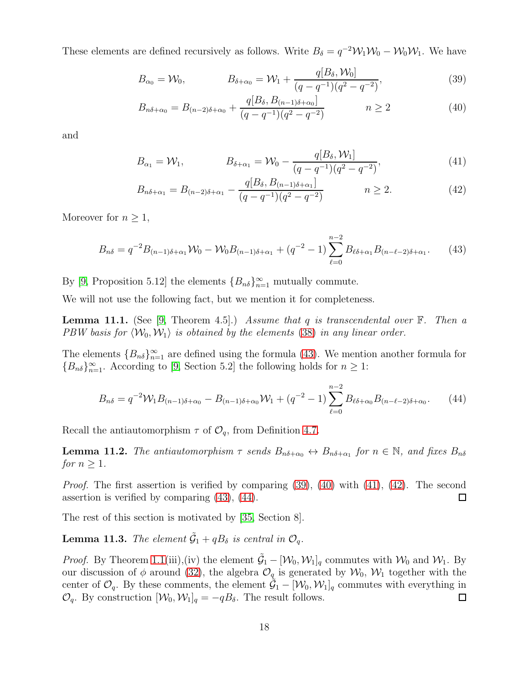These elements are defined recursively as follows. Write  $B_{\delta} = q^{-2}W_1W_0 - W_0W_1$ . We have

<span id="page-17-1"></span>
$$
B_{\alpha_0} = \mathcal{W}_0, \qquad B_{\delta + \alpha_0} = \mathcal{W}_1 + \frac{q[B_\delta, \mathcal{W}_0]}{(q - q^{-1})(q^2 - q^{-2})}, \qquad (39)
$$

<span id="page-17-2"></span>
$$
B_{n\delta+\alpha_0} = B_{(n-2)\delta+\alpha_0} + \frac{q[B_\delta, B_{(n-1)\delta+\alpha_0}]}{(q-q^{-1})(q^2-q^{-2})} \qquad n \ge 2 \qquad (40)
$$

and

<span id="page-17-3"></span>
$$
B_{\alpha_1} = \mathcal{W}_1, \qquad B_{\delta + \alpha_1} = \mathcal{W}_0 - \frac{q[B_\delta, \mathcal{W}_1]}{(q - q^{-1})(q^2 - q^{-2})}, \qquad (41)
$$

<span id="page-17-4"></span>
$$
B_{n\delta + \alpha_1} = B_{(n-2)\delta + \alpha_1} - \frac{q[B_{\delta}, B_{(n-1)\delta + \alpha_1}]}{(q - q^{-1})(q^2 - q^{-2})} \qquad n \ge 2.
$$
 (42)

Moreover for  $n \geq 1$ ,

<span id="page-17-0"></span>
$$
B_{n\delta} = q^{-2}B_{(n-1)\delta + \alpha_1}\mathcal{W}_0 - \mathcal{W}_0B_{(n-1)\delta + \alpha_1} + (q^{-2} - 1)\sum_{\ell=0}^{n-2} B_{\ell\delta + \alpha_1}B_{(n-\ell-2)\delta + \alpha_1}.
$$
 (43)

By [\[9,](#page-23-6) Proposition 5.12] the elements  ${B_{n\delta}}_{n=1}^{\infty}$  mutually commute.

We will not use the following fact, but we mention it for completeness.

**Lemma 11.1.** (See [\[9,](#page-23-6) Theorem 4.5].) Assume that q is transcendental over  $\mathbb{F}$ . Then a PBW basis for  $\langle W_0, W_1 \rangle$  is obtained by the elements [\(38\)](#page-16-1) in any linear order.

The elements  ${B_{n\delta}}_{n=1}^{\infty}$  are defined using the formula [\(43\)](#page-17-0). We mention another formula for  ${B_{n\delta}}_{n=1}^{\infty}$ . According to [\[9,](#page-23-6) Section 5.2] the following holds for  $n \geq 1$ :

<span id="page-17-5"></span>
$$
B_{n\delta} = q^{-2} \mathcal{W}_1 B_{(n-1)\delta + \alpha_0} - B_{(n-1)\delta + \alpha_0} \mathcal{W}_1 + (q^{-2} - 1) \sum_{\ell=0}^{n-2} B_{\ell\delta + \alpha_0} B_{(n-\ell-2)\delta + \alpha_0}.
$$
 (44)

Recall the antiautomorphism  $\tau$  of  $\mathcal{O}_q$ , from Definition [4.7.](#page-6-6)

<span id="page-17-7"></span>**Lemma 11.2.** The antiautomorphism  $\tau$  sends  $B_{n\delta+\alpha_0} \leftrightarrow B_{n\delta+\alpha_1}$  for  $n \in \mathbb{N}$ , and fixes  $B_{n\delta}$ for  $n \geq 1$ .

Proof. The first assertion is verified by comparing [\(39\)](#page-17-1), [\(40\)](#page-17-2) with [\(41\)](#page-17-3), [\(42\)](#page-17-4). The second assertion is verified by comparing [\(43\)](#page-17-0), [\(44\)](#page-17-5).  $\Box$ 

The rest of this section is motivated by [\[35,](#page-24-14) Section 8].

<span id="page-17-6"></span>**Lemma 11.3.** The element  $\tilde{G}_1 + qB_\delta$  is central in  $\mathcal{O}_q$ .

*Proof.* By Theorem [1.1\(](#page-2-0)iii),(iv) the element  $\tilde{G}_1 - [\mathcal{W}_0, \mathcal{W}_1]_q$  commutes with  $\mathcal{W}_0$  and  $\mathcal{W}_1$ . By our discussion of  $\phi$  around [\(32\)](#page-11-0), the algebra  $\mathcal{O}_{q}$  is generated by  $\mathcal{W}_{0}$ ,  $\mathcal{W}_{1}$  together with the center of  $\mathcal{O}_q$ . By these comments, the element  $\tilde{\mathcal{G}}_1 - [\mathcal{W}_0, \mathcal{W}_1]_q$  commutes with everything in  $\mathcal{O}_q$ . By construction  $[\mathcal{W}_0, \mathcal{W}_1]_q = -qB_\delta$ . The result follows.  $\Box$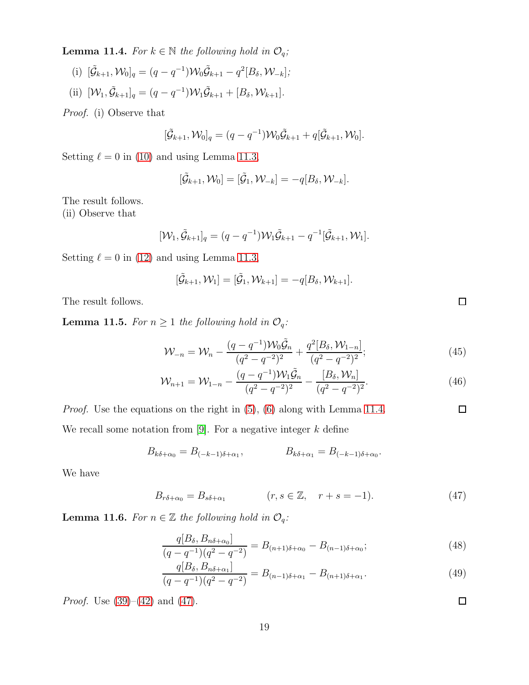<span id="page-18-0"></span>**Lemma 11.4.** For  $k \in \mathbb{N}$  the following hold in  $\mathcal{O}_q$ ;

(i)  $[\tilde{\mathcal{G}}_{k+1}, \mathcal{W}_0]_q = (q - q^{-1}) \mathcal{W}_0 \tilde{\mathcal{G}}_{k+1} - q^2 [B_\delta, \mathcal{W}_{-k}],$ (ii)  $[\mathcal{W}_1, \tilde{\mathcal{G}}_{k+1}]_q = (q - q^{-1}) \mathcal{W}_1 \tilde{\mathcal{G}}_{k+1} + [B_\delta, \mathcal{W}_{k+1}].$ 

Proof. (i) Observe that

$$
[\tilde{\mathcal{G}}_{k+1}, \mathcal{W}_0]_q = (q - q^{-1}) \mathcal{W}_0 \tilde{\mathcal{G}}_{k+1} + q[\tilde{\mathcal{G}}_{k+1}, \mathcal{W}_0].
$$

Setting  $\ell = 0$  in [\(10\)](#page-5-12) and using Lemma [11.3,](#page-17-6)

$$
[\tilde{\mathcal{G}}_{k+1}, \mathcal{W}_0] = [\tilde{\mathcal{G}}_1, \mathcal{W}_{-k}] = -q[B_{\delta}, \mathcal{W}_{-k}].
$$

The result follows.

(ii) Observe that

$$
[\mathcal{W}_1, \tilde{\mathcal{G}}_{k+1}]_q = (q - q^{-1}) \mathcal{W}_1 \tilde{\mathcal{G}}_{k+1} - q^{-1} [\tilde{\mathcal{G}}_{k+1}, \mathcal{W}_1].
$$

Setting  $\ell = 0$  in [\(12\)](#page-5-13) and using Lemma [11.3,](#page-17-6)

$$
[\tilde{\mathcal{G}}_{k+1}, \mathcal{W}_1] = [\tilde{\mathcal{G}}_1, \mathcal{W}_{k+1}] = -q[B_{\delta}, \mathcal{W}_{k+1}].
$$

The result follows.

**Lemma 11.5.** For  $n \geq 1$  the following hold in  $\mathcal{O}_q$ :

$$
\mathcal{W}_{-n} = \mathcal{W}_n - \frac{(q - q^{-1})\mathcal{W}_0 \tilde{\mathcal{G}}_n}{(q^2 - q^{-2})^2} + \frac{q^2 [B_\delta, \mathcal{W}_{1-n}]}{(q^2 - q^{-2})^2};
$$
\n(45)

$$
\mathcal{W}_{n+1} = \mathcal{W}_{1-n} - \frac{(q - q^{-1})\mathcal{W}_1 \tilde{\mathcal{G}}_n}{(q^2 - q^{-2})^2} - \frac{[B_\delta, \mathcal{W}_n]}{(q^2 - q^{-2})^2}.
$$
\n(46)

Proof. Use the equations on the right in [\(5\)](#page-5-5), [\(6\)](#page-5-7) along with Lemma [11.4.](#page-18-0)  $\Box$ We recall some notation from [\[9\]](#page-23-6). For a negative integer  $k$  define

$$
B_{k\delta+\alpha_0} = B_{(-k-1)\delta+\alpha_1}, \qquad B_{k\delta+\alpha_1} = B_{(-k-1)\delta+\alpha_0}.
$$

We have

$$
B_{r\delta+\alpha_0} = B_{s\delta+\alpha_1} \qquad (r, s \in \mathbb{Z}, \quad r+s = -1). \tag{47}
$$

**Lemma 11.6.** For  $n \in \mathbb{Z}$  the following hold in  $\mathcal{O}_q$ :

$$
\frac{q[B_{\delta}, B_{n\delta+\alpha_0}]}{(q-q^{-1})(q^2-q^{-2})} = B_{(n+1)\delta+\alpha_0} - B_{(n-1)\delta+\alpha_0};\tag{48}
$$

$$
\frac{q[B_{\delta}, B_{n\delta+\alpha_1}]}{(q-q^{-1})(q^2-q^{-2})} = B_{(n-1)\delta+\alpha_1} - B_{(n+1)\delta+\alpha_1}.
$$
\n(49)

*Proof.* Use  $(39)–(42)$  $(39)–(42)$  and  $(47)$ .

<span id="page-18-5"></span><span id="page-18-4"></span><span id="page-18-3"></span><span id="page-18-2"></span><span id="page-18-1"></span>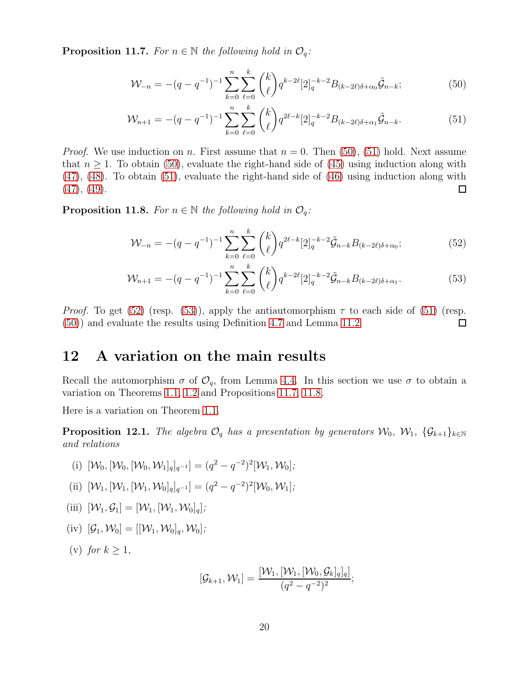<span id="page-19-0"></span>**Proposition 11.7.** For  $n \in \mathbb{N}$  the following hold in  $\mathcal{O}_q$ :

<span id="page-19-3"></span><span id="page-19-2"></span>
$$
\mathcal{W}_{-n} = -(q - q^{-1})^{-1} \sum_{k=0}^{n} \sum_{\ell=0}^{k} \binom{k}{\ell} q^{k-2\ell} [2]_q^{-k-2} B_{(k-2\ell)\delta + \alpha_0} \tilde{\mathcal{G}}_{n-k};\tag{50}
$$

$$
\mathcal{W}_{n+1} = -(q - q^{-1})^{-1} \sum_{k=0}^{n} \sum_{\ell=0}^{k} {k \choose \ell} q^{2\ell-k} [2]_q^{-k-2} B_{(k-2\ell)\delta + \alpha_1} \tilde{\mathcal{G}}_{n-k}.
$$
 (51)

*Proof.* We use induction on n. First assume that  $n = 0$ . Then [\(50\)](#page-19-2), [\(51\)](#page-19-3) hold. Next assume that  $n \geq 1$ . To obtain [\(50\)](#page-19-2), evaluate the right-hand side of [\(45\)](#page-18-2) using induction along with [\(47\)](#page-18-1), [\(48\)](#page-18-3). To obtain [\(51\)](#page-19-3), evaluate the right-hand side of [\(46\)](#page-18-4) using induction along with  $(47), (49).$  $(47), (49).$  $(47), (49).$  $(47), (49).$  $\Box$ 

<span id="page-19-1"></span>**Proposition 11.8.** For  $n \in \mathbb{N}$  the following hold in  $\mathcal{O}_q$ :

<span id="page-19-5"></span><span id="page-19-4"></span>
$$
\mathcal{W}_{-n} = -(q - q^{-1})^{-1} \sum_{k=0}^{n} \sum_{\ell=0}^{k} \binom{k}{\ell} q^{2\ell-k} [2]_q^{-k-2} \tilde{\mathcal{G}}_{n-k} B_{(k-2\ell)\delta + \alpha_0};\tag{52}
$$

$$
\mathcal{W}_{n+1} = -(q - q^{-1})^{-1} \sum_{k=0}^{n} \sum_{\ell=0}^{k} \binom{k}{\ell} q^{k-2\ell} [2]_q^{-k-2} \tilde{\mathcal{G}}_{n-k} B_{(k-2\ell)\delta + \alpha_1}.
$$
 (53)

*Proof.* To get [\(52\)](#page-19-4) (resp. [\(53\)](#page-19-5)), apply the antiautomorphism  $\tau$  to each side of [\(51\)](#page-19-3) (resp. [\(50\)](#page-19-2)) and evaluate the results using Definition [4.7](#page-6-6) and Lemma [11.2.](#page-17-7)  $\Box$ 

#### 12 A variation on the main results

Recall the automorphism  $\sigma$  of  $\mathcal{O}_q$ , from Lemma [4.4.](#page-5-2) In this section we use  $\sigma$  to obtain a variation on Theorems [1.1,](#page-2-0) [1.2](#page-2-1) and Propositions [11.7,](#page-19-0) [11.8.](#page-19-1)

Here is a variation on Theorem [1.1.](#page-2-0)

**Proposition 12.1.** The algebra  $\mathcal{O}_q$  has a presentation by generators  $\mathcal{W}_0$ ,  $\mathcal{W}_1$ ,  $\{\mathcal{G}_{k+1}\}_{k\in\mathbb{N}}$ and relations

(i) 
$$
[\mathcal{W}_0, [\mathcal{W}_0, [\mathcal{W}_0, \mathcal{W}_1]_q]_{q^{-1}}] = (q^2 - q^{-2})^2 [\mathcal{W}_1, \mathcal{W}_0];
$$

- (ii)  $[\mathcal{W}_1, [\mathcal{W}_1, [\mathcal{W}_1, \mathcal{W}_0]_q]_{q^{-1}}] = (q^2 q^{-2})^2 [\mathcal{W}_0, \mathcal{W}_1];$
- (iii)  $[\mathcal{W}_1, \mathcal{G}_1] = [\mathcal{W}_1, [\mathcal{W}_1, \mathcal{W}_0]_q];$
- (iv)  $[\mathcal{G}_1, \mathcal{W}_0] = [[\mathcal{W}_1, \mathcal{W}_0]_a, \mathcal{W}_0]$ ;

(v) for  $k > 1$ ,

$$
[\mathcal{G}_{k+1}, \mathcal{W}_1] = \frac{[\mathcal{W}_1, [\mathcal{W}_1, [\mathcal{W}_0, \mathcal{G}_k]_q]_q]}{(q^2 - q^{-2})^2};
$$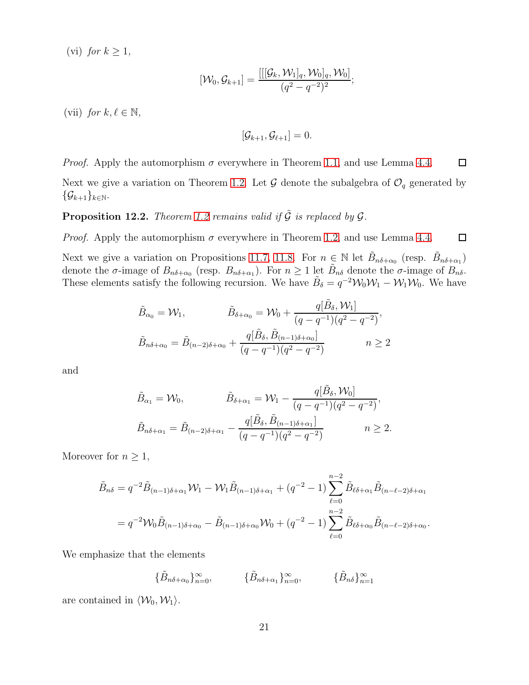(vi) for  $k \geq 1$ ,

$$
[\mathcal{W}_0,\mathcal{G}_{k+1}]=\frac{[[[\mathcal{G}_k,\mathcal{W}_1]_q,\mathcal{W}_0]_q,\mathcal{W}_0]}{(q^2-q^{-2})^2};
$$

(vii) for  $k, \ell \in \mathbb{N}$ ,

$$
[\mathcal{G}_{k+1}, \mathcal{G}_{\ell+1}] = 0.
$$

*Proof.* Apply the automorphism  $\sigma$  everywhere in Theorem [1.1,](#page-2-0) and use Lemma [4.4.](#page-5-2)  $\Box$ 

Next we give a variation on Theorem [1.2.](#page-2-1) Let  $\mathcal G$  denote the subalgebra of  $\mathcal O_q$  generated by  $\{\mathcal{G}_{k+1}\}_{k\in\mathbb{N}}.$ 

**Proposition 12.2.** Theorem [1.2](#page-2-1) remains valid if  $\tilde{G}$  is replaced by  $G$ .

*Proof.* Apply the automorphism  $\sigma$  everywhere in Theorem [1.2,](#page-2-1) and use Lemma [4.4.](#page-5-2)  $\Box$ 

Next we give a variation on Propositions [11.7,](#page-19-0) [11.8.](#page-19-1) For  $n \in \mathbb{N}$  let  $\tilde{B}_{n\delta+\alpha_0}$  (resp.  $\tilde{B}_{n\delta+\alpha_1}$ ) denote the  $\sigma$ -image of  $B_{n\delta+\alpha_0}$  (resp.  $B_{n\delta+\alpha_1}$ ). For  $n \geq 1$  let  $\tilde{B}_{n\delta}$  denote the  $\sigma$ -image of  $B_{n\delta}$ . These elements satisfy the following recursion. We have  $\tilde{B}_\delta = q^{-2} \mathcal{W}_0 \mathcal{W}_1 - \mathcal{W}_1 \mathcal{W}_0$ . We have

$$
\tilde{B}_{\alpha_0} = \mathcal{W}_1, \qquad \qquad \tilde{B}_{\delta + \alpha_0} = \mathcal{W}_0 + \frac{q[\tilde{B}_{\delta}, \mathcal{W}_1]}{(q - q^{-1})(q^2 - q^{-2})}, \n\tilde{B}_{n\delta + \alpha_0} = \tilde{B}_{(n-2)\delta + \alpha_0} + \frac{q[\tilde{B}_{\delta}, \tilde{B}_{(n-1)\delta + \alpha_0}]}{(q - q^{-1})(q^2 - q^{-2})} \qquad n \ge 2
$$

and

$$
\tilde{B}_{\alpha_1} = \mathcal{W}_0, \qquad \qquad \tilde{B}_{\delta + \alpha_1} = \mathcal{W}_1 - \frac{q[\tilde{B}_{\delta}, \mathcal{W}_0]}{(q - q^{-1})(q^2 - q^{-2})}, \n\tilde{B}_{n\delta + \alpha_1} = \tilde{B}_{(n-2)\delta + \alpha_1} - \frac{q[\tilde{B}_{\delta}, \tilde{B}_{(n-1)\delta + \alpha_1}]}{(q - q^{-1})(q^2 - q^{-2})} \qquad n \ge 2.
$$

Moreover for  $n \geq 1$ ,

$$
\tilde{B}_{n\delta} = q^{-2} \tilde{B}_{(n-1)\delta + \alpha_1} \mathcal{W}_1 - \mathcal{W}_1 \tilde{B}_{(n-1)\delta + \alpha_1} + (q^{-2} - 1) \sum_{\ell=0}^{n-2} \tilde{B}_{\ell\delta + \alpha_1} \tilde{B}_{(n-\ell-2)\delta + \alpha_1}
$$
\n
$$
= q^{-2} \mathcal{W}_0 \tilde{B}_{(n-1)\delta + \alpha_0} - \tilde{B}_{(n-1)\delta + \alpha_0} \mathcal{W}_0 + (q^{-2} - 1) \sum_{\ell=0}^{n-2} \tilde{B}_{\ell\delta + \alpha_0} \tilde{B}_{(n-\ell-2)\delta + \alpha_0}.
$$

We emphasize that the elements

 $\{\tilde{B}_{n\delta+\alpha_0}\}_{n=0}^{\infty}$ ,  $\{\tilde{B}_{n\delta+\alpha_1}\}_{n=0}^{\infty}$ ,  $\{\tilde{B}_{n\delta}\}_{n=1}^{\infty}$ 

are contained in  $\langle \mathcal{W}_0, \mathcal{W}_1 \rangle$ .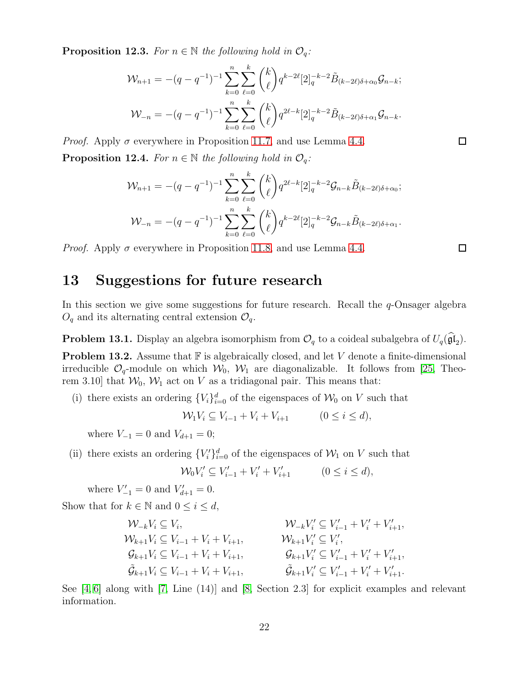**Proposition 12.3.** For  $n \in \mathbb{N}$  the following hold in  $\mathcal{O}_q$ :

$$
\mathcal{W}_{n+1} = -(q - q^{-1})^{-1} \sum_{k=0}^{n} \sum_{\ell=0}^{k} {k \choose \ell} q^{k-2\ell} [2]_q^{-k-2} \tilde{B}_{(k-2\ell)\delta + \alpha_0} \mathcal{G}_{n-k};
$$
  

$$
\mathcal{W}_{-n} = -(q - q^{-1})^{-1} \sum_{k=0}^{n} \sum_{\ell=0}^{k} {k \choose \ell} q^{2\ell-k} [2]_q^{-k-2} \tilde{B}_{(k-2\ell)\delta + \alpha_1} \mathcal{G}_{n-k}.
$$

*Proof.* Apply  $\sigma$  everywhere in Proposition [11.7,](#page-19-0) and use Lemma [4.4.](#page-5-2) **Proposition 12.4.** For  $n \in \mathbb{N}$  the following hold in  $\mathcal{O}_q$ :

$$
\mathcal{W}_{n+1} = -(q - q^{-1})^{-1} \sum_{k=0}^{n} \sum_{\ell=0}^{k} \binom{k}{\ell} q^{2\ell-k} [2]_q^{-k-2} \mathcal{G}_{n-k} \tilde{B}_{(k-2\ell)\delta + \alpha_0};
$$
  

$$
\mathcal{W}_{-n} = -(q - q^{-1})^{-1} \sum_{k=0}^{n} \sum_{\ell=0}^{k} \binom{k}{\ell} q^{k-2\ell} [2]_q^{-k-2} \mathcal{G}_{n-k} \tilde{B}_{(k-2\ell)\delta + \alpha_1}.
$$

*Proof.* Apply  $\sigma$  everywhere in Proposition [11.8,](#page-19-1) and use Lemma [4.4.](#page-5-2)

#### 13 Suggestions for future research

In this section we give some suggestions for future research. Recall the  $q$ -Onsager algebra  $O_q$  and its alternating central extension  $O_q$ .

**Problem 13.1.** Display an algebra isomorphism from  $\mathcal{O}_q$  to a coideal subalgebra of  $U_q(\mathfrak{gl}_2)$ .

<span id="page-21-0"></span>**Problem 13.2.** Assume that  $\mathbb{F}$  is algebraically closed, and let V denote a finite-dimensional irreducible  $\mathcal{O}_q$ -module on which  $\mathcal{W}_0$ ,  $\mathcal{W}_1$  are diagonalizable. It follows from [\[25,](#page-24-0) Theorem 3.10] that  $W_0$ ,  $W_1$  act on V as a tridiagonal pair. This means that:

(i) there exists an ordering  ${V_i}_{i=0}^d$  of the eigenspaces of  $W_0$  on V such that

$$
\mathcal{W}_1 V_i \subseteq V_{i-1} + V_i + V_{i+1} \qquad (0 \le i \le d),
$$

where  $V_{-1} = 0$  and  $V_{d+1} = 0$ ;

(ii) there exists an ordering  ${V_i'}_{i=0}^d$  of the eigenspaces of  $W_1$  on V such that

$$
\mathcal{W}_0 V_i' \subseteq V_{i-1}' + V_i' + V_{i+1}' \qquad (0 \le i \le d),
$$

where  $V'_{-1} = 0$  and  $V'_{d+1} = 0$ . Show that for  $k \in \mathbb{N}$  and  $0 \leq i \leq d$ ,

$$
\begin{aligned}\n & \mathcal{W}_{-k}V_{i} \subseteq V_{i}, & \mathcal{W}_{-k}V_{i}' \subseteq V_{i-1}' + V_{i}' + V_{i+1}', \\
 & \mathcal{W}_{k+1}V_{i} \subseteq V_{i-1} + V_{i} + V_{i+1}, & \mathcal{W}_{k+1}V_{i}' \subseteq V_{i}', \\
 & \mathcal{G}_{k+1}V_{i} \subseteq V_{i-1} + V_{i} + V_{i+1}, & \mathcal{G}_{k+1}V_{i}' \subseteq V_{i-1}' + V_{i}' + V_{i+1}', \\
 & \tilde{\mathcal{G}}_{k+1}V_{i} \subseteq V_{i-1} + V_{i} + V_{i+1}, & \tilde{\mathcal{G}}_{k+1}V_{i}' \subseteq V_{i-1}' + V_{i}' + V_{i+1}'.\n \end{aligned}
$$

See [\[4,](#page-22-3) [6\]](#page-23-9) along with [\[7,](#page-23-14) Line (14)] and [\[8,](#page-23-4) Section 2.3] for explicit examples and relevant information.

 $\Box$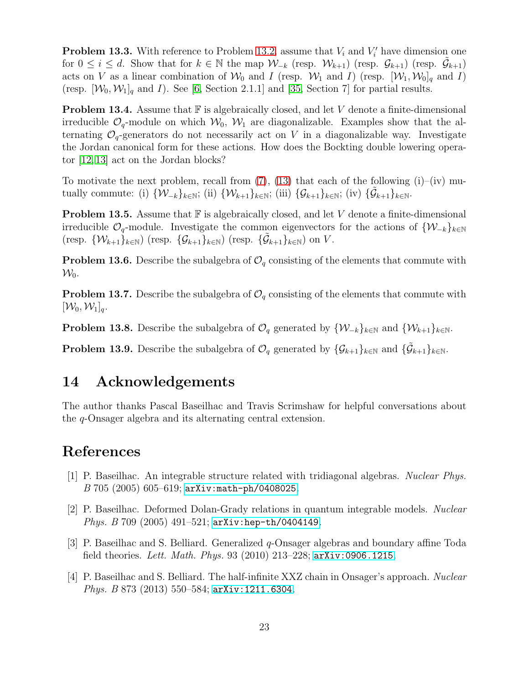**Problem 13.3.** With reference to Problem [13.2,](#page-21-0) assume that  $V_i$  and  $V'_i$  have dimension one for  $0 \leq i \leq d$ . Show that for  $k \in \mathbb{N}$  the map  $\mathcal{W}_{-k}$  (resp.  $\mathcal{W}_{k+1}$ ) (resp.  $\mathcal{G}_{k+1}$ ) (resp.  $\tilde{\mathcal{G}}_{k+1}$ ) acts on V as a linear combination of  $\mathcal{W}_0$  and I (resp.  $\mathcal{W}_1$  and I) (resp.  $[\mathcal{W}_1, \mathcal{W}_0]_q$  and I) (resp.  $[\mathcal{W}_0, \mathcal{W}_1]_q$  and I). See [\[6,](#page-23-9) Section 2.1.1] and [\[35,](#page-24-14) Section 7] for partial results.

**Problem 13.4.** Assume that  $\mathbb{F}$  is algebraically closed, and let V denote a finite-dimensional irreducible  $\mathcal{O}_q$ -module on which  $\mathcal{W}_0$ ,  $\mathcal{W}_1$  are diagonalizable. Examples show that the alternating  $\mathcal{O}_q$ -generators do not necessarily act on V in a diagonalizable way. Investigate the Jordan canonical form for these actions. How does the Bockting double lowering operator [\[12,](#page-23-7) [13\]](#page-23-8) act on the Jordan blocks?

To motivate the next problem, recall from  $(7)$ ,  $(13)$  that each of the following  $(i)$ – $(iv)$  mutually commute: (i)  $\{W_{-k}\}_{k\in\mathbb{N}}$ ; (ii)  $\{W_{k+1}\}_{k\in\mathbb{N}}$ ; (iii)  $\{\mathcal{G}_{k+1}\}_{k\in\mathbb{N}}$ ; (iv)  $\{\tilde{\mathcal{G}}_{k+1}\}_{k\in\mathbb{N}}$ .

**Problem 13.5.** Assume that  $\mathbb{F}$  is algebraically closed, and let V denote a finite-dimensional irreducible  $\mathcal{O}_q$ -module. Investigate the common eigenvectors for the actions of  $\{W_{-k}\}_{k\in\mathbb{N}}$ (resp.  $\{W_{k+1}\}_{k\in\mathbb{N}}$ ) (resp.  $\{\mathcal{G}_{k+1}\}_{k\in\mathbb{N}}$ ) (resp.  $\{\tilde{\mathcal{G}}_{k+1}\}_{k\in\mathbb{N}}$ ) on V.

**Problem 13.6.** Describe the subalgebra of  $\mathcal{O}_q$  consisting of the elements that commute with  $\mathcal{W}_0$ .

**Problem 13.7.** Describe the subalgebra of  $\mathcal{O}_q$  consisting of the elements that commute with  $[\mathcal{W}_0, \mathcal{W}_1]_q$ .

**Problem 13.8.** Describe the subalgebra of  $\mathcal{O}_q$  generated by  $\{W_{-k}\}_{k\in\mathbb{N}}$  and  $\{W_{k+1}\}_{k\in\mathbb{N}}$ .

**Problem 13.9.** Describe the subalgebra of  $\mathcal{O}_q$  generated by  $\{\mathcal{G}_{k+1}\}_{k\in\mathbb{N}}$  and  $\{\tilde{\mathcal{G}}_{k+1}\}_{k\in\mathbb{N}}$ .

#### 14 Acknowledgements

The author thanks Pascal Baseilhac and Travis Scrimshaw for helpful conversations about the q-Onsager algebra and its alternating central extension.

### <span id="page-22-1"></span>References

- [1] P. Baseilhac. An integrable structure related with tridiagonal algebras. Nuclear Phys.  $B$  705 (2005) 605-619; [arXiv:math-ph/0408025](http://arxiv.org/abs/math-ph/0408025).
- <span id="page-22-0"></span>[2] P. Baseilhac. Deformed Dolan-Grady relations in quantum integrable models. Nuclear Phys. B 709 (2005) 491–521; [arXiv:hep-th/0404149](http://arxiv.org/abs/hep-th/0404149).
- <span id="page-22-2"></span>[3] P. Baseilhac and S. Belliard. Generalized q-Onsager algebras and boundary affine Toda field theories. Lett. Math. Phys. 93 (2010) 213-228;  $arXiv:0906.1215$ .
- <span id="page-22-3"></span>[4] P. Baseilhac and S. Belliard. The half-infinite XXZ chain in Onsager's approach. Nuclear Phys. B 873 (2013) 550–584; [arXiv:1211.6304](http://arxiv.org/abs/1211.6304).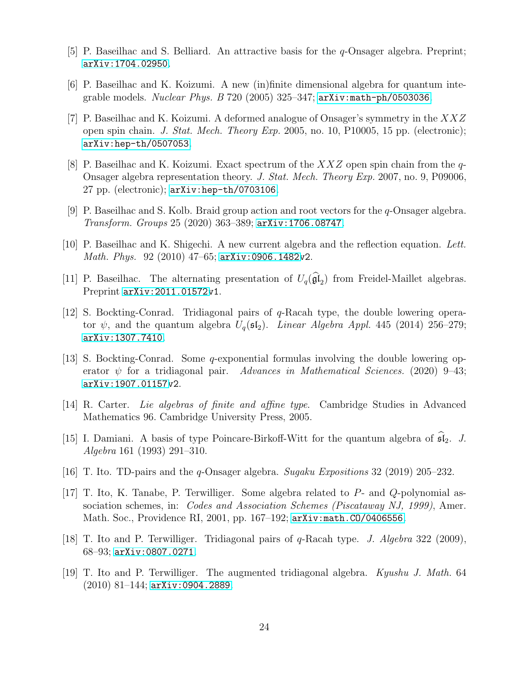- <span id="page-23-13"></span><span id="page-23-9"></span>[5] P. Baseilhac and S. Belliard. An attractive basis for the q-Onsager algebra. Preprint; [arXiv:1704.02950](http://arxiv.org/abs/1704.02950).
- <span id="page-23-14"></span>[6] P. Baseilhac and K. Koizumi. A new (in)finite dimensional algebra for quantum integrable models. *Nuclear Phys. B* 720 (2005) 325–347;  $arXiv:math-ph/0503036$ .
- [7] P. Baseilhac and K. Koizumi. A deformed analogue of Onsager's symmetry in the XXZ open spin chain. J. Stat. Mech. Theory Exp. 2005, no. 10, P10005, 15 pp. (electronic); [arXiv:hep-th/0507053](http://arxiv.org/abs/hep-th/0507053).
- <span id="page-23-4"></span>[8] P. Baseilhac and K. Koizumi. Exact spectrum of the  $XXZ$  open spin chain from the q-Onsager algebra representation theory. J. Stat. Mech. Theory Exp. 2007, no. 9, P09006, 27 pp. (electronic); [arXiv:hep-th/0703106](http://arxiv.org/abs/hep-th/0703106).
- <span id="page-23-6"></span><span id="page-23-5"></span>[9] P. Baseilhac and S. Kolb. Braid group action and root vectors for the q-Onsager algebra. Transform. Groups 25 (2020) 363–389; [arXiv:1706.08747](http://arxiv.org/abs/1706.08747).
- <span id="page-23-11"></span>[10] P. Baseilhac and K. Shigechi. A new current algebra and the reflection equation. Lett. Math. Phys. 92 (2010) 47–65; [arXiv:0906.1482v](http://arxiv.org/abs/0906.1482)2.
- <span id="page-23-7"></span>[11] P. Baseilhac. The alternating presentation of  $U_q(\mathfrak{gl}_2)$  from Freidel-Maillet algebras. Preprint [arXiv:2011.01572v](http://arxiv.org/abs/2011.01572)1.
- [12] S. Bockting-Conrad. Tridiagonal pairs of q-Racah type, the double lowering operator  $\psi$ , and the quantum algebra  $U_q(\mathfrak{sl}_2)$ . Linear Algebra Appl. 445 (2014) 256–279; [arXiv:1307.7410](http://arxiv.org/abs/1307.7410).
- <span id="page-23-8"></span>[13] S. Bockting-Conrad. Some q-exponential formulas involving the double lowering operator  $\psi$  for a tridiagonal pair. Advances in Mathematical Sciences. (2020) 9–43; [arXiv:1907.01157v](http://arxiv.org/abs/1907.01157)2.
- <span id="page-23-12"></span>[14] R. Carter. Lie algebras of finite and affine type. Cambridge Studies in Advanced Mathematics 96. Cambridge University Press, 2005.
- <span id="page-23-10"></span>[15] I. Damiani. A basis of type Poincare-Birkoff-Witt for the quantum algebra of  $\mathfrak{sl}_2$ . J. Algebra 161 (1993) 291–310.
- <span id="page-23-1"></span><span id="page-23-0"></span>[16] T. Ito. TD-pairs and the q-Onsager algebra. Sugaku Expositions 32 (2019) 205–232.
- [17] T. Ito, K. Tanabe, P. Terwilliger. Some algebra related to P- and Q-polynomial association schemes, in: *Codes and Association Schemes (Piscataway NJ, 1999)*, Amer. Math. Soc., Providence RI, 2001, pp. 167–192; [arXiv:math.CO/0406556](http://arxiv.org/abs/math/0406556).
- <span id="page-23-2"></span>[18] T. Ito and P. Terwilliger. Tridiagonal pairs of q-Racah type. J. Algebra 322 (2009), 68–93; [arXiv:0807.0271](http://arxiv.org/abs/0807.0271).
- <span id="page-23-3"></span>[19] T. Ito and P. Terwilliger. The augmented tridiagonal algebra. Kyushu J. Math. 64  $(2010)$  81–144; [arXiv:0904.2889](http://arxiv.org/abs/0904.2889).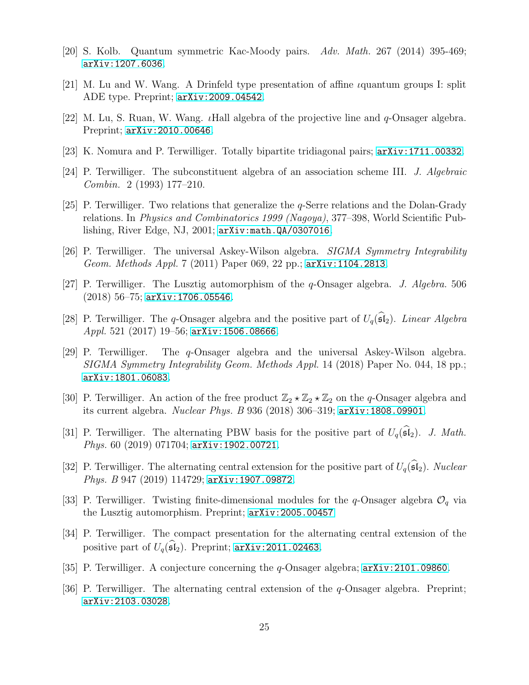- <span id="page-24-7"></span><span id="page-24-3"></span>[20] S. Kolb. Quantum symmetric Kac-Moody pairs. Adv. Math. 267 (2014) 395-469; [arXiv:1207.6036](http://arxiv.org/abs/1207.6036).
- <span id="page-24-8"></span>[21] M. Lu and W. Wang. A Drinfeld type presentation of affine *i*quantum groups I: split ADE type. Preprint; [arXiv:2009.04542](http://arxiv.org/abs/2009.04542).
- <span id="page-24-2"></span>[22] M. Lu, S. Ruan, W. Wang. *I*Hall algebra of the projective line and  $q$ -Onsager algebra. Preprint; [arXiv:2010.00646](http://arxiv.org/abs/2010.00646).
- <span id="page-24-1"></span>[23] K. Nomura and P. Terwilliger. Totally bipartite tridiagonal pairs; [arXiv:1711.00332](http://arxiv.org/abs/1711.00332).
- <span id="page-24-0"></span>[24] P. Terwilliger. The subconstituent algebra of an association scheme III. J. Algebraic Combin. 2 (1993) 177–210.
- [25] P. Terwilliger. Two relations that generalize the q-Serre relations and the Dolan-Grady relations. In Physics and Combinatorics 1999 (Nagoya), 377–398, World Scientific Publishing, River Edge, NJ, 2001; [arXiv:math.QA/0307016](http://arxiv.org/abs/math/0307016).
- <span id="page-24-9"></span><span id="page-24-4"></span>[26] P. Terwilliger. The universal Askey-Wilson algebra. SIGMA Symmetry Integrability Geom. Methods Appl. 7 (2011) Paper 069, 22 pp.; [arXiv:1104.2813](http://arxiv.org/abs/1104.2813).
- [27] P. Terwilliger. The Lusztig automorphism of the q-Onsager algebra. J. Algebra. 506  $(2018)$  56–75; [arXiv:1706.05546](http://arxiv.org/abs/1706.05546).
- <span id="page-24-16"></span>[28] P. Terwilliger. The q-Onsager algebra and the positive part of  $U_q(\widehat{\mathfrak{sl}}_2)$ . Linear Algebra Appl. 521 (2017) 19–56; [arXiv:1506.08666](http://arxiv.org/abs/1506.08666).
- <span id="page-24-10"></span>[29] P. Terwilliger. The q-Onsager algebra and the universal Askey-Wilson algebra. SIGMA Symmetry Integrability Geom. Methods Appl. 14 (2018) Paper No. 044, 18 pp.; [arXiv:1801.06083](http://arxiv.org/abs/1801.06083).
- <span id="page-24-5"></span>[30] P. Terwilliger. An action of the free product  $\mathbb{Z}_2 \star \mathbb{Z}_2 \star \mathbb{Z}_2$  on the q-Onsager algebra and its current algebra. *Nuclear Phys. B* 936 (2018) 306–319;  $arXiv:1808.09901$ .
- <span id="page-24-13"></span>[31] P. Terwilliger. The alternating PBW basis for the positive part of  $U_q(\widehat{\mathfrak{sl}}_2)$ . J. Math. Phys. 60 (2019) 071704; [arXiv:1902.00721](http://arxiv.org/abs/1902.00721).
- <span id="page-24-12"></span>[32] P. Terwilliger. The alternating central extension for the positive part of  $U_q(\mathfrak{sl}_2)$ . Nuclear Phys. B 947 (2019) 114729; [arXiv:1907.09872](http://arxiv.org/abs/1907.09872).
- <span id="page-24-15"></span><span id="page-24-6"></span>[33] P. Terwilliger. Twisting finite-dimensional modules for the q-Onsager algebra  $\mathcal{O}_q$  via the Lusztig automorphism. Preprint; [arXiv:2005.00457](http://arxiv.org/abs/2005.00457)
- [34] P. Terwilliger. The compact presentation for the alternating central extension of the positive part of  $U_q(\widehat{\mathfrak{sl}}_2)$ . Preprint; [arXiv:2011.02463](http://arxiv.org/abs/2011.02463).
- <span id="page-24-14"></span><span id="page-24-11"></span>[35] P. Terwilliger. A conjecture concerning the q-Onsager algebra; [arXiv:2101.09860](http://arxiv.org/abs/2101.09860).
- [36] P. Terwilliger. The alternating central extension of the q-Onsager algebra. Preprint; [arXiv:2103.03028](http://arxiv.org/abs/2103.03028).